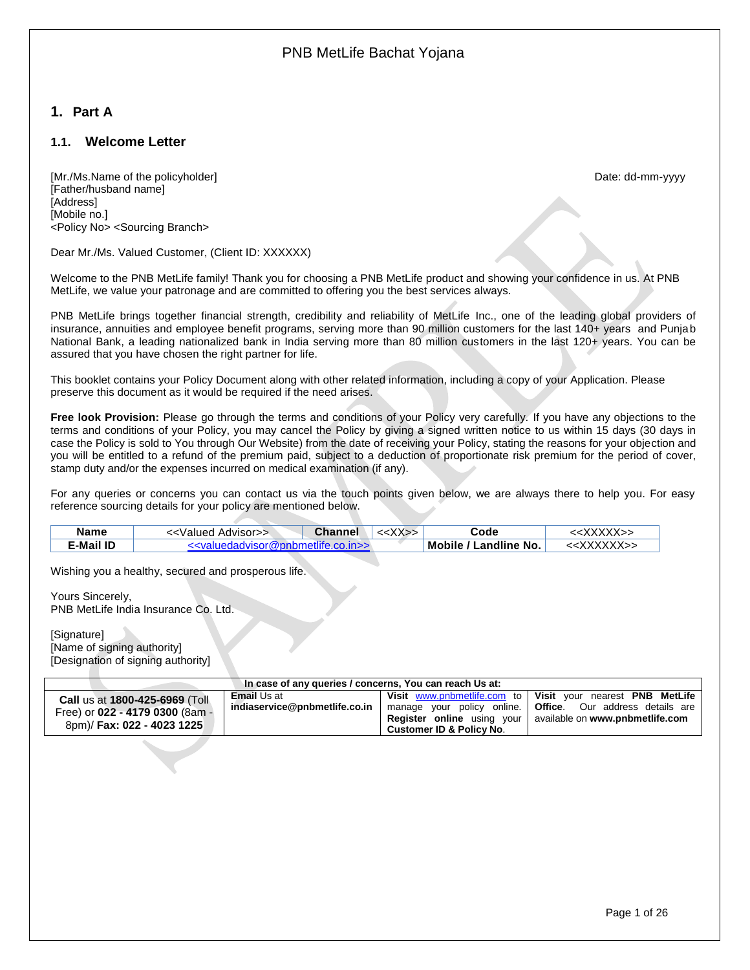# <span id="page-0-0"></span>**1. Part A**

## <span id="page-0-1"></span>**1.1. Welcome Letter**

[Mr./Ms.Name of the policyholder] example and the policyholder control to the policyholder control to the policyholder control to the policyholder control to the policyholder control to the policyholder control to the poli [Father/husband name] [Address] [Mobile no.] <Policy No> <Sourcing Branch>

Dear Mr./Ms. Valued Customer, (Client ID: XXXXXX)

Welcome to the PNB MetLife family! Thank you for choosing a PNB MetLife product and showing your confidence in us. At PNB MetLife, we value your patronage and are committed to offering you the best services always.

PNB MetLife brings together financial strength, credibility and reliability of MetLife Inc., one of the leading global providers of insurance, annuities and employee benefit programs, serving more than 90 million customers for the last 140+ years and Punjab National Bank, a leading nationalized bank in India serving more than 80 million customers in the last 120+ years. You can be assured that you have chosen the right partner for life.

This booklet contains your Policy Document along with other related information, including a copy of your Application. Please preserve this document as it would be required if the need arises.

**Free look Provision:** Please go through the terms and conditions of your Policy very carefully. If you have any objections to the terms and conditions of your Policy, you may cancel the Policy by giving a signed written notice to us within 15 days (30 days in case the Policy is sold to You through Our Website) from the date of receiving your Policy, stating the reasons for your objection and you will be entitled to a refund of the premium paid, subject to a deduction of proportionate risk premium for the period of cover, stamp duty and/or the expenses incurred on medical examination (if any).

For any queries or concerns you can contact us via the touch points given below, we are always there to help you. For easy reference sourcing details for your policy are mentioned below.

| <b>E-Mail ID</b> | m ><br>'<∨al<br>⊶d\/ieor@nnnne… |  | Mobile / Landline No. |  |
|------------------|---------------------------------|--|-----------------------|--|

Wishing you a healthy, secured and prosperous life.

Yours Sincerely, PNB MetLife India Insurance Co. Ltd.

[Signature] [Name of signing authority] [Designation of signing authority]

| Call us at 1800-425-6969 (Toll<br>Free) or 022 - 4179 0300 (8am -<br>8pm)/ Fax: 022 - 4023 1225 | <b>Email</b> Us at<br>indiaservice@pnbmetlife.co.in | <b>Customer ID &amp; Policy No.</b> | Visit www.pnbmetlife.com to   Visit your nearest PNB MetLife<br>manage your policy online.   Office. Our address details are<br><b>Register online</b> using your available on www.pnbmetlife.com |
|-------------------------------------------------------------------------------------------------|-----------------------------------------------------|-------------------------------------|---------------------------------------------------------------------------------------------------------------------------------------------------------------------------------------------------|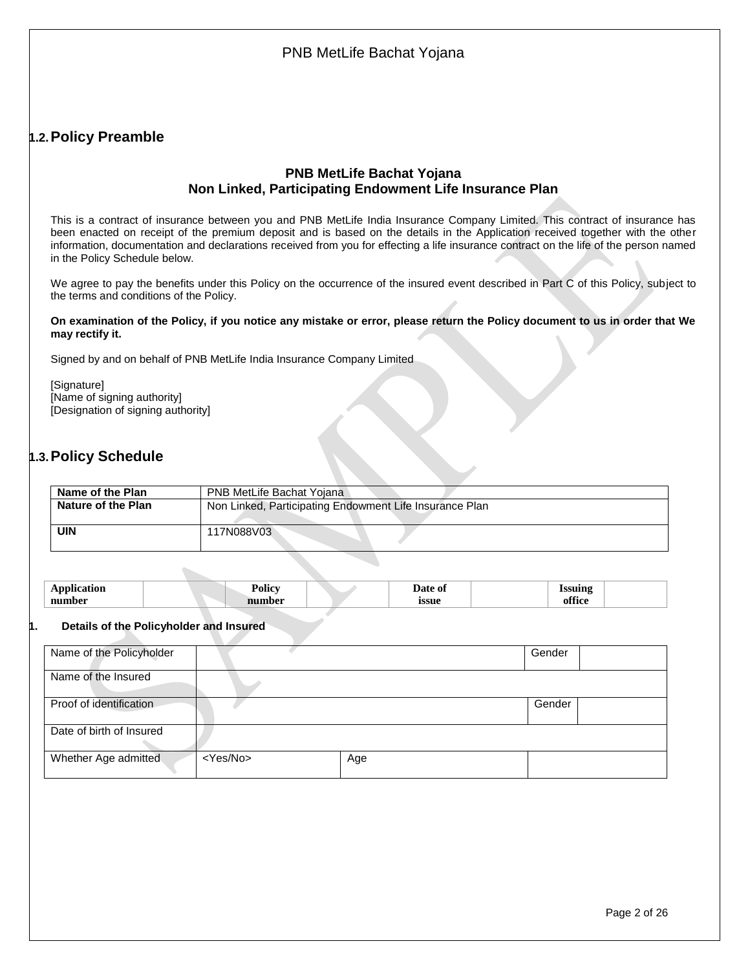# <span id="page-1-0"></span>**1.2.Policy Preamble**

## **PNB MetLife Bachat Yojana Non Linked, Participating Endowment Life Insurance Plan**

This is a contract of insurance between you and PNB MetLife India Insurance Company Limited. This contract of insurance has been enacted on receipt of the premium deposit and is based on the details in the Application received together with the other information, documentation and declarations received from you for effecting a life insurance contract on the life of the person named in the Policy Schedule below.

We agree to pay the benefits under this Policy on the occurrence of the insured event described in Part C of this Policy, subject to the terms and conditions of the Policy.

#### **On examination of the Policy, if you notice any mistake or error, please return the Policy document to us in order that We may rectify it.**

Signed by and on behalf of PNB MetLife India Insurance Company Limited

[Signature] [Name of signing authority] [Designation of signing authority]

# <span id="page-1-1"></span>**1.3.Policy Schedule**

| Name of the Plan   | PNB MetLife Bachat Yojana                               |
|--------------------|---------------------------------------------------------|
| Nature of the Plan | Non Linked, Participating Endowment Life Insurance Plan |
| <b>UIN</b>         | 117N088V03                                              |

|  | <br>nun<br>-- | <b>VIII</b><br>. .<br>---- | $\ldots$<br>ວວຍ | $\sim$<br>$-1$<br>$\sim$ |
|--|---------------|----------------------------|-----------------|--------------------------|
|--|---------------|----------------------------|-----------------|--------------------------|

#### **1. Details of the Policyholder and Insured**

| Name of the Policyholder |                   |     | Gender |  |
|--------------------------|-------------------|-----|--------|--|
| Name of the Insured      |                   |     |        |  |
| Proof of identification  |                   |     | Gender |  |
| Date of birth of Insured |                   |     |        |  |
| Whether Age admitted     | <yes no=""></yes> | Age |        |  |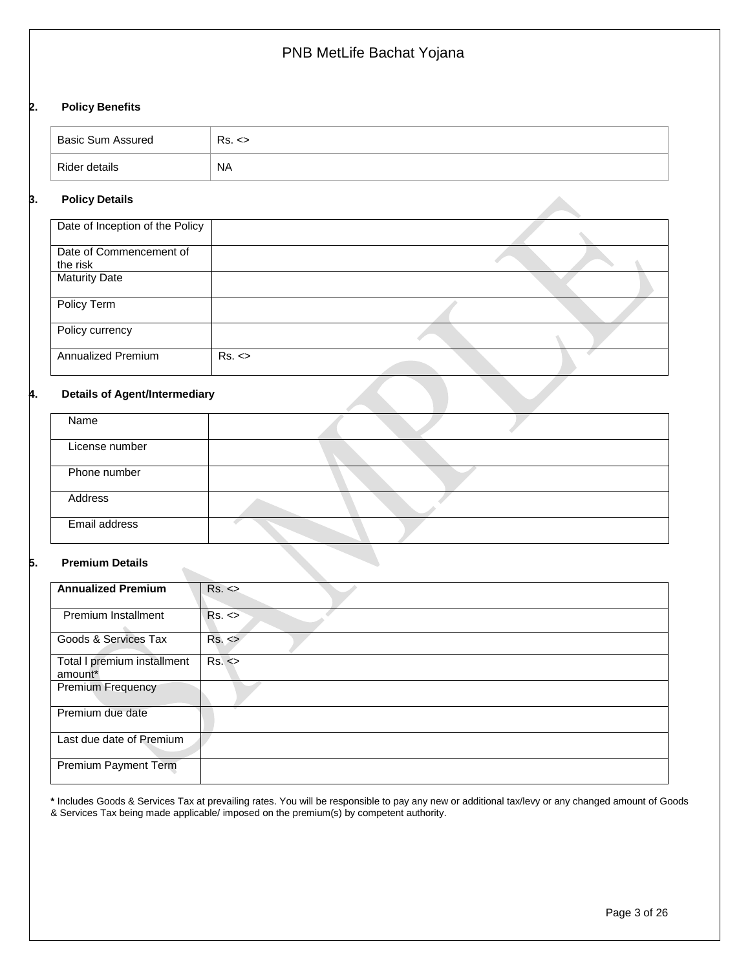#### **2. Policy Benefits**

| <b>Basic Sum Assured</b> | Rs. <     |
|--------------------------|-----------|
| Rider details            | <b>NA</b> |

#### **3. Policy Details**

| Date of Inception of the Policy     |       |  |
|-------------------------------------|-------|--|
| Date of Commencement of<br>the risk |       |  |
| <b>Maturity Date</b>                |       |  |
| Policy Term                         |       |  |
| Policy currency                     |       |  |
| Annualized Premium                  | Rs. < |  |

#### **4. Details of Agent/Intermediary**

| Name           |  |
|----------------|--|
| License number |  |
| Phone number   |  |
| Address        |  |
| Email address  |  |

#### **5. Premium Details**

 $\sim$ 

| <b>Annualized Premium</b>   | Rs. < |
|-----------------------------|-------|
|                             |       |
| Premium Installment         | Rs. < |
| Goods & Services Tax        | Rs. < |
| Total I premium installment | Rs. < |
| amount*                     |       |
| Premium Frequency           |       |
| Premium due date            |       |
| Last due date of Premium    |       |
| <b>Premium Payment Term</b> |       |

**\*** Includes Goods & Services Tax at prevailing rates. You will be responsible to pay any new or additional tax/levy or any changed amount of Goods & Services Tax being made applicable/ imposed on the premium(s) by competent authority.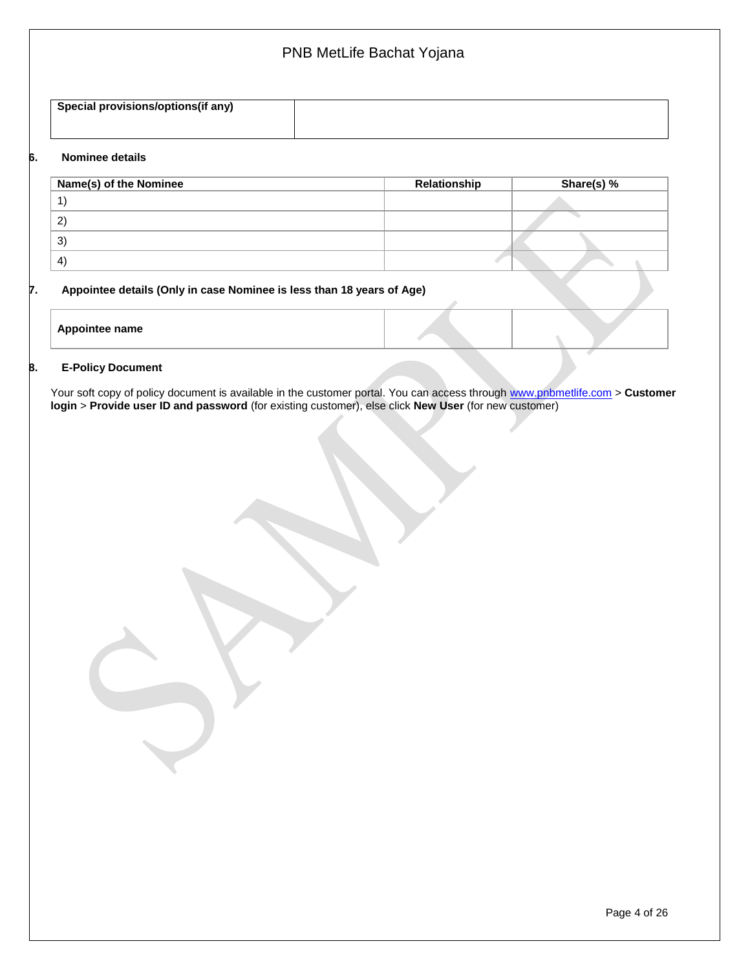# PNB MetLife Bachat Yojana **Special provisions/options(if any) 6. Nominee details**

| Name(s) of the Nominee | Relationship | Share(s) % |
|------------------------|--------------|------------|
|                        |              |            |
| $\mathbf{2}$           |              |            |
| 3)                     |              |            |
| $\left( 4\right)$      |              |            |

### **7. Appointee details (Only in case Nominee is less than 18 years of Age)**

| <b>Appointee name</b> |  |  |
|-----------------------|--|--|
|                       |  |  |

#### **8. E-Policy Document**

Your soft copy of policy document is available in the customer portal. You can access through [www.pnbmetlife.com](http://www.pnbmetlife.com/) > **Customer login** > **Provide user ID and password** (for existing customer), else click **New User** (for new customer)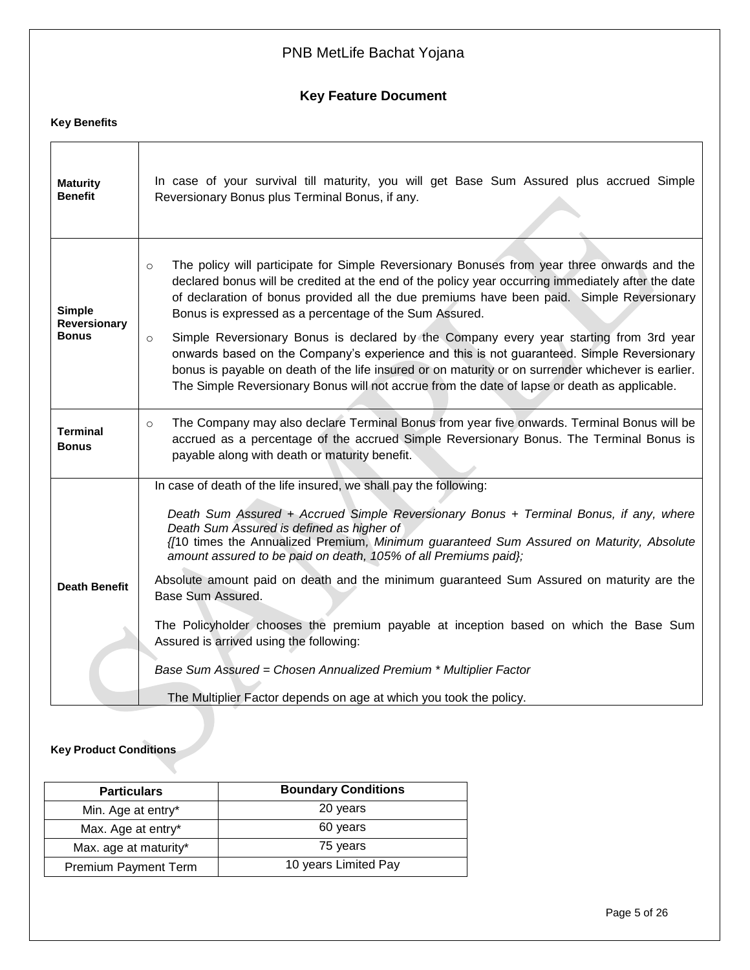# **Key Feature Document**

# **Key Benefits**

| <b>Maturity</b><br><b>Benefit</b>                                                                                                                                                                                                                                                    | In case of your survival till maturity, you will get Base Sum Assured plus accrued Simple<br>Reversionary Bonus plus Terminal Bonus, if any.                                                                                                                                                                                                                                                                                                                                                                                                                          |  |  |  |  |
|--------------------------------------------------------------------------------------------------------------------------------------------------------------------------------------------------------------------------------------------------------------------------------------|-----------------------------------------------------------------------------------------------------------------------------------------------------------------------------------------------------------------------------------------------------------------------------------------------------------------------------------------------------------------------------------------------------------------------------------------------------------------------------------------------------------------------------------------------------------------------|--|--|--|--|
| <b>Simple</b><br>Reversionary<br>Bonus                                                                                                                                                                                                                                               | The policy will participate for Simple Reversionary Bonuses from year three onwards and the<br>$\circ$<br>declared bonus will be credited at the end of the policy year occurring immediately after the date<br>of declaration of bonus provided all the due premiums have been paid. Simple Reversionary<br>Bonus is expressed as a percentage of the Sum Assured.<br>Simple Reversionary Bonus is declared by the Company every year starting from 3rd year<br>$\circ$<br>onwards based on the Company's experience and this is not guaranteed. Simple Reversionary |  |  |  |  |
|                                                                                                                                                                                                                                                                                      | bonus is payable on death of the life insured or on maturity or on surrender whichever is earlier.<br>The Simple Reversionary Bonus will not accrue from the date of lapse or death as applicable.                                                                                                                                                                                                                                                                                                                                                                    |  |  |  |  |
| The Company may also declare Terminal Bonus from year five onwards. Terminal Bonus will be<br>$\circ$<br><b>Terminal</b><br>accrued as a percentage of the accrued Simple Reversionary Bonus. The Terminal Bonus is<br><b>Bonus</b><br>payable along with death or maturity benefit. |                                                                                                                                                                                                                                                                                                                                                                                                                                                                                                                                                                       |  |  |  |  |
|                                                                                                                                                                                                                                                                                      | In case of death of the life insured, we shall pay the following:                                                                                                                                                                                                                                                                                                                                                                                                                                                                                                     |  |  |  |  |
|                                                                                                                                                                                                                                                                                      | Death Sum Assured + Accrued Simple Reversionary Bonus + Terminal Bonus, if any, where<br>Death Sum Assured is defined as higher of<br>{/10 times the Annualized Premium, Minimum guaranteed Sum Assured on Maturity, Absolute<br>amount assured to be paid on death, 105% of all Premiums paid};                                                                                                                                                                                                                                                                      |  |  |  |  |
| <b>Death Benefit</b>                                                                                                                                                                                                                                                                 | Absolute amount paid on death and the minimum guaranteed Sum Assured on maturity are the<br>Base Sum Assured.                                                                                                                                                                                                                                                                                                                                                                                                                                                         |  |  |  |  |
|                                                                                                                                                                                                                                                                                      | The Policyholder chooses the premium payable at inception based on which the Base Sum<br>Assured is arrived using the following:                                                                                                                                                                                                                                                                                                                                                                                                                                      |  |  |  |  |
|                                                                                                                                                                                                                                                                                      | Base Sum Assured = Chosen Annualized Premium * Multiplier Factor                                                                                                                                                                                                                                                                                                                                                                                                                                                                                                      |  |  |  |  |
|                                                                                                                                                                                                                                                                                      | The Multiplier Factor depends on age at which you took the policy.                                                                                                                                                                                                                                                                                                                                                                                                                                                                                                    |  |  |  |  |

# **Key Product Conditions**

| <b>Particulars</b>          | <b>Boundary Conditions</b> |
|-----------------------------|----------------------------|
| Min. Age at entry*          | 20 years                   |
| Max. Age at entry*          | 60 years                   |
| Max. age at maturity*       | 75 years                   |
| <b>Premium Payment Term</b> | 10 years Limited Pay       |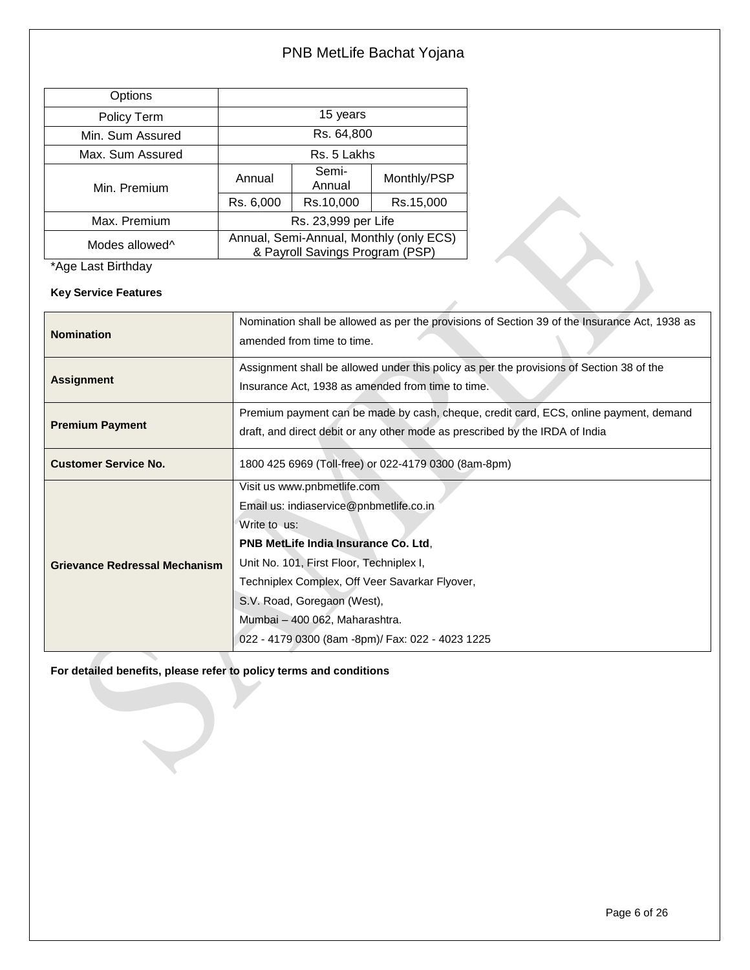| Options                    |                                                                            |                 |             |
|----------------------------|----------------------------------------------------------------------------|-----------------|-------------|
| Policy Term                | 15 years                                                                   |                 |             |
| Min. Sum Assured           | Rs. 64,800                                                                 |                 |             |
| Max. Sum Assured           | Rs. 5 Lakhs                                                                |                 |             |
| Min. Premium               | Annual                                                                     | Semi-<br>Annual | Monthly/PSP |
|                            | Rs. 6,000                                                                  | Rs.10,000       | Rs.15,000   |
| Max. Premium               | Rs. 23,999 per Life                                                        |                 |             |
| Modes allowed <sup>^</sup> | Annual, Semi-Annual, Monthly (only ECS)<br>& Payroll Savings Program (PSP) |                 |             |

\*Age Last Birthday

**Key Service Features**

| <b>Nomination</b>             | Nomination shall be allowed as per the provisions of Section 39 of the Insurance Act, 1938 as<br>amended from time to time.                                           |  |
|-------------------------------|-----------------------------------------------------------------------------------------------------------------------------------------------------------------------|--|
| <b>Assignment</b>             | Assignment shall be allowed under this policy as per the provisions of Section 38 of the<br>Insurance Act, 1938 as amended from time to time.                         |  |
| <b>Premium Payment</b>        | Premium payment can be made by cash, cheque, credit card, ECS, online payment, demand<br>draft, and direct debit or any other mode as prescribed by the IRDA of India |  |
| <b>Customer Service No.</b>   | 1800 425 6969 (Toll-free) or 022-4179 0300 (8am-8pm)                                                                                                                  |  |
|                               | Visit us www.pnbmetlife.com<br>Email us: indiaservice@pnbmetlife.co.in                                                                                                |  |
|                               | Write to us:                                                                                                                                                          |  |
|                               | <b>PNB MetLife India Insurance Co. Ltd.</b>                                                                                                                           |  |
| Grievance Redressal Mechanism | Unit No. 101, First Floor, Techniplex I,                                                                                                                              |  |
|                               | Techniplex Complex, Off Veer Savarkar Flyover,                                                                                                                        |  |
|                               | S.V. Road, Goregaon (West),                                                                                                                                           |  |
|                               | Mumbai - 400 062, Maharashtra.                                                                                                                                        |  |
|                               | 022 - 4179 0300 (8am -8pm)/ Fax: 022 - 4023 1225                                                                                                                      |  |

**For detailed benefits, please refer to policy terms and conditions**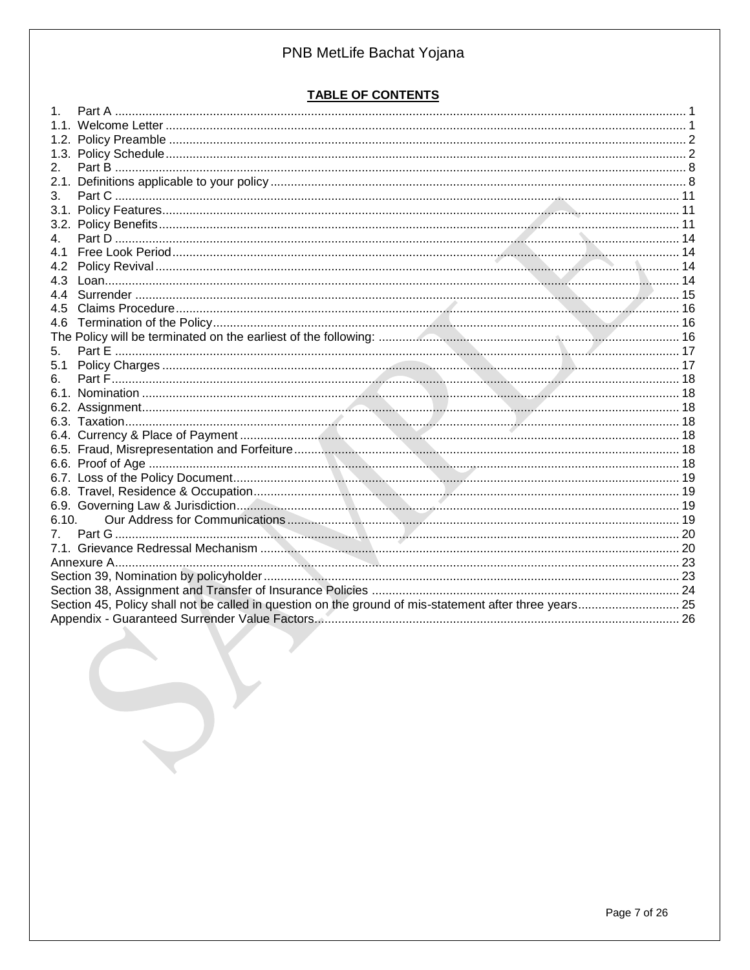# **TABLE OF CONTENTS**

| 2.             |                                                                                                        |  |
|----------------|--------------------------------------------------------------------------------------------------------|--|
|                |                                                                                                        |  |
| 3 <sub>l</sub> |                                                                                                        |  |
|                |                                                                                                        |  |
|                |                                                                                                        |  |
| 4.             |                                                                                                        |  |
| 41             |                                                                                                        |  |
| 4.2            |                                                                                                        |  |
| 4.3            |                                                                                                        |  |
|                |                                                                                                        |  |
| 4.5            |                                                                                                        |  |
| 4.6            |                                                                                                        |  |
|                |                                                                                                        |  |
| 5.             |                                                                                                        |  |
|                |                                                                                                        |  |
|                |                                                                                                        |  |
|                |                                                                                                        |  |
|                |                                                                                                        |  |
|                |                                                                                                        |  |
|                |                                                                                                        |  |
|                |                                                                                                        |  |
|                |                                                                                                        |  |
|                |                                                                                                        |  |
|                |                                                                                                        |  |
|                |                                                                                                        |  |
| 6.10.          |                                                                                                        |  |
|                |                                                                                                        |  |
|                |                                                                                                        |  |
|                |                                                                                                        |  |
|                |                                                                                                        |  |
|                |                                                                                                        |  |
|                | Section 45, Policy shall not be called in question on the ground of mis-statement after three years 25 |  |
|                |                                                                                                        |  |
|                |                                                                                                        |  |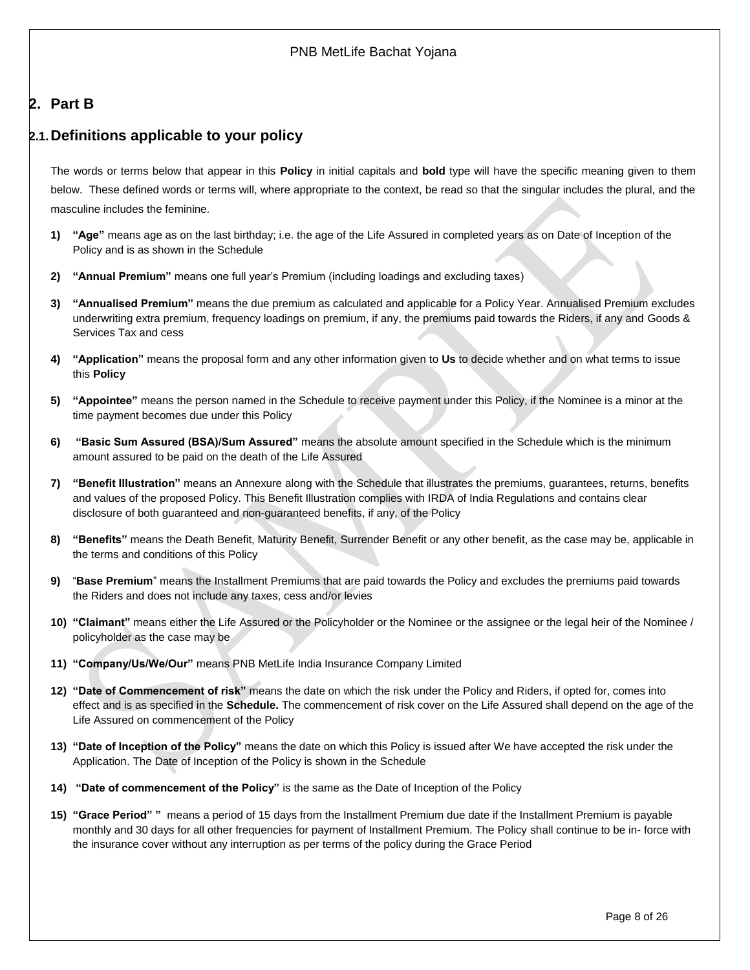# <span id="page-7-0"></span>**2. Part B**

# <span id="page-7-1"></span>**2.1.Definitions applicable to your policy**

The words or terms below that appear in this **Policy** in initial capitals and **bold** type will have the specific meaning given to them below. These defined words or terms will, where appropriate to the context, be read so that the singular includes the plural, and the masculine includes the feminine.

- **1) "Age"** means age as on the last birthday; i.e. the age of the Life Assured in completed years as on Date of Inception of the Policy and is as shown in the Schedule
- **2) "Annual Premium"** means one full year's Premium (including loadings and excluding taxes)
- **3) "Annualised Premium"** means the due premium as calculated and applicable for a Policy Year. Annualised Premium excludes underwriting extra premium, frequency loadings on premium, if any, the premiums paid towards the Riders, if any and Goods & Services Tax and cess
- **4) "Application"** means the proposal form and any other information given to **Us** to decide whether and on what terms to issue this **Policy**
- **5) "Appointee"** means the person named in the Schedule to receive payment under this Policy, if the Nominee is a minor at the time payment becomes due under this Policy
- **6) "Basic Sum Assured (BSA)/Sum Assured"** means the absolute amount specified in the Schedule which is the minimum amount assured to be paid on the death of the Life Assured
- **7) "Benefit Illustration"** means an Annexure along with the Schedule that illustrates the premiums, guarantees, returns, benefits and values of the proposed Policy. This Benefit Illustration complies with IRDA of India Regulations and contains clear disclosure of both guaranteed and non-guaranteed benefits, if any, of the Policy
- **8) "Benefits"** means the Death Benefit, Maturity Benefit, Surrender Benefit or any other benefit, as the case may be, applicable in the terms and conditions of this Policy
- **9)** "**Base Premium**" means the Installment Premiums that are paid towards the Policy and excludes the premiums paid towards the Riders and does not include any taxes, cess and/or levies
- **10) "Claimant"** means either the Life Assured or the Policyholder or the Nominee or the assignee or the legal heir of the Nominee / policyholder as the case may be
- **11) "Company/Us/We/Our"** means PNB MetLife India Insurance Company Limited
- **12) "Date of Commencement of risk"** means the date on which the risk under the Policy and Riders, if opted for, comes into effect and is as specified in the **Schedule.** The commencement of risk cover on the Life Assured shall depend on the age of the Life Assured on commencement of the Policy
- **13) "Date of Inception of the Policy"** means the date on which this Policy is issued after We have accepted the risk under the Application. The Date of Inception of the Policy is shown in the Schedule
- **14) "Date of commencement of the Policy"** is the same as the Date of Inception of the Policy
- **15) "Grace Period" "** means a period of 15 days from the Installment Premium due date if the Installment Premium is payable monthly and 30 days for all other frequencies for payment of Installment Premium. The Policy shall continue to be in- force with the insurance cover without any interruption as per terms of the policy during the Grace Period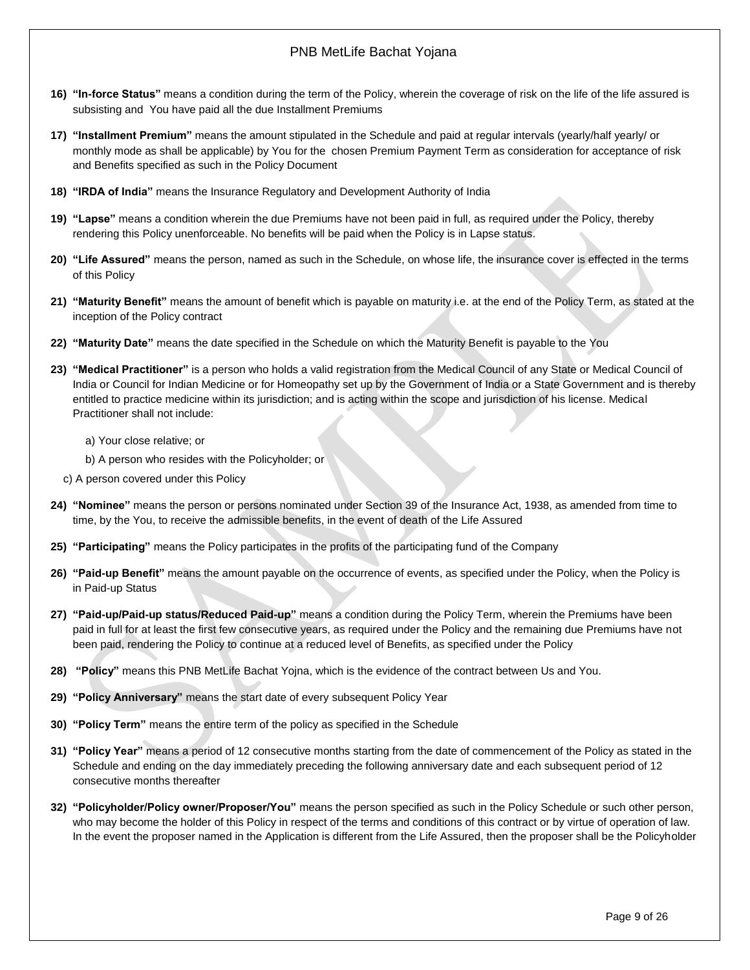- **16) "In-force Status"** means a condition during the term of the Policy, wherein the coverage of risk on the life of the life assured is subsisting and You have paid all the due Installment Premiums
- **17) "Installment Premium"** means the amount stipulated in the Schedule and paid at regular intervals (yearly/half yearly/ or monthly mode as shall be applicable) by You for the chosen Premium Payment Term as consideration for acceptance of risk and Benefits specified as such in the Policy Document
- **18) "IRDA of India"** means the Insurance Regulatory and Development Authority of India
- **19) "Lapse"** means a condition wherein the due Premiums have not been paid in full, as required under the Policy, thereby rendering this Policy unenforceable. No benefits will be paid when the Policy is in Lapse status.
- **20) "Life Assured"** means the person, named as such in the Schedule, on whose life, the insurance cover is effected in the terms of this Policy
- **21) "Maturity Benefit"** means the amount of benefit which is payable on maturity i.e. at the end of the Policy Term, as stated at the inception of the Policy contract
- **22) "Maturity Date"** means the date specified in the Schedule on which the Maturity Benefit is payable to the You
- **23) "Medical Practitioner"** is a person who holds a valid registration from the Medical Council of any State or Medical Council of India or Council for Indian Medicine or for Homeopathy set up by the Government of India or a State Government and is thereby entitled to practice medicine within its jurisdiction; and is acting within the scope and jurisdiction of his license. Medical Practitioner shall not include:
	- a) Your close relative; or
	- b) A person who resides with the Policyholder; or
	- c) A person covered under this Policy
- **24) "Nominee"** means the person or persons nominated under Section 39 of the Insurance Act, 1938, as amended from time to time, by the You, to receive the admissible benefits, in the event of death of the Life Assured
- **25) "Participating"** means the Policy participates in the profits of the participating fund of the Company
- **26) "Paid-up Benefit"** means the amount payable on the occurrence of events, as specified under the Policy, when the Policy is in Paid-up Status
- **27) "Paid-up/Paid-up status/Reduced Paid-up"** means a condition during the Policy Term, wherein the Premiums have been paid in full for at least the first few consecutive years, as required under the Policy and the remaining due Premiums have not been paid, rendering the Policy to continue at a reduced level of Benefits, as specified under the Policy
- **28) "Policy"** means this PNB MetLife Bachat Yojna, which is the evidence of the contract between Us and You.
- **29) "Policy Anniversary"** means the start date of every subsequent Policy Year
- **30) "Policy Term"** means the entire term of the policy as specified in the Schedule
- **31) "Policy Year"** means a period of 12 consecutive months starting from the date of commencement of the Policy as stated in the Schedule and ending on the day immediately preceding the following anniversary date and each subsequent period of 12 consecutive months thereafter
- **32) "Policyholder/Policy owner/Proposer/You"** means the person specified as such in the Policy Schedule or such other person, who may become the holder of this Policy in respect of the terms and conditions of this contract or by virtue of operation of law. In the event the proposer named in the Application is different from the Life Assured, then the proposer shall be the Policyholder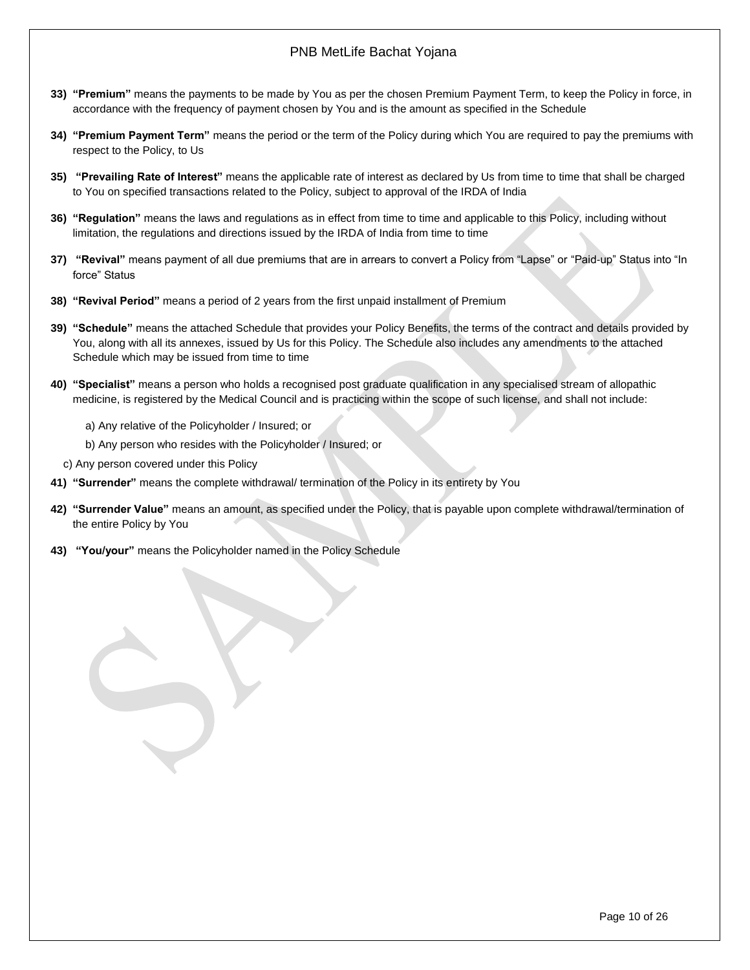- **33) "Premium"** means the payments to be made by You as per the chosen Premium Payment Term, to keep the Policy in force, in accordance with the frequency of payment chosen by You and is the amount as specified in the Schedule
- **34)** "Premium Payment Term" means the period or the term of the Policy during which You are required to pay the premiums with respect to the Policy, to Us
- **35) "Prevailing Rate of Interest"** means the applicable rate of interest as declared by Us from time to time that shall be charged to You on specified transactions related to the Policy, subject to approval of the IRDA of India
- **36) "Regulation"** means the laws and regulations as in effect from time to time and applicable to this Policy, including without limitation, the regulations and directions issued by the IRDA of India from time to time
- **37) "Revival"** means payment of all due premiums that are in arrears to convert a Policy from "Lapse" or "Paid-up" Status into "In force" Status
- **38) "Revival Period"** means a period of 2 years from the first unpaid installment of Premium
- **39) "Schedule"** means the attached Schedule that provides your Policy Benefits, the terms of the contract and details provided by You, along with all its annexes, issued by Us for this Policy. The Schedule also includes any amendments to the attached Schedule which may be issued from time to time
- **40) "Specialist"** means a person who holds a recognised post graduate qualification in any specialised stream of allopathic medicine, is registered by the Medical Council and is practicing within the scope of such license, and shall not include:
	- a) Any relative of the Policyholder / Insured; or
	- b) Any person who resides with the Policyholder / Insured; or
	- c) Any person covered under this Policy
- **41) "Surrender"** means the complete withdrawal/ termination of the Policy in its entirety by You
- **42) "Surrender Value"** means an amount, as specified under the Policy, that is payable upon complete withdrawal/termination of the entire Policy by You
- **43) "You/your"** means the Policyholder named in the Policy Schedule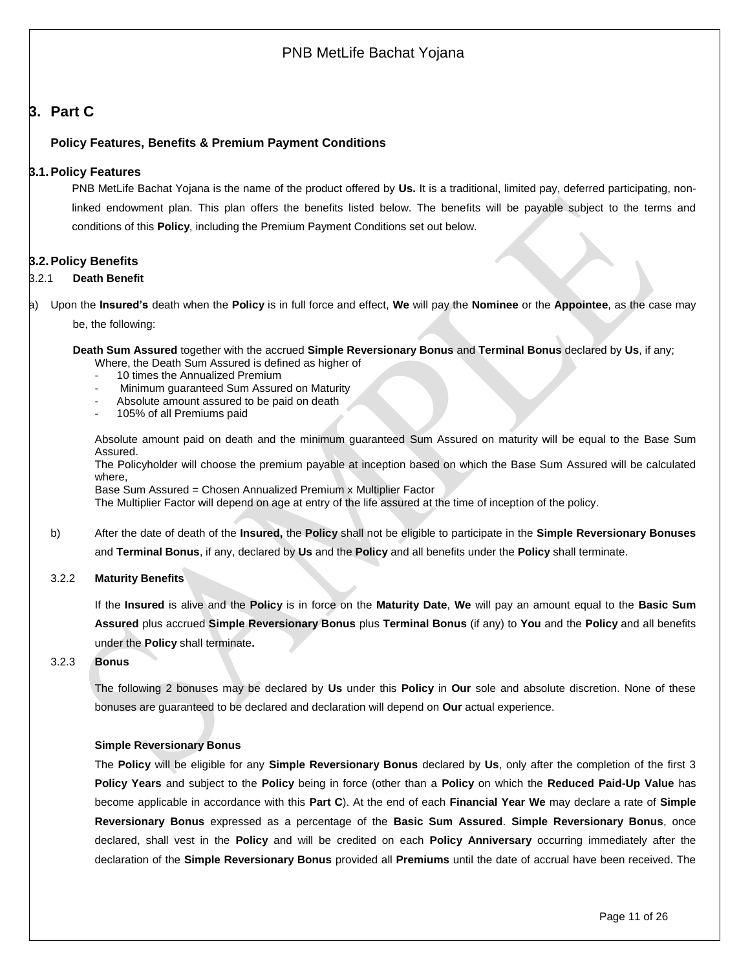## <span id="page-10-0"></span>**3. Part C**

## <span id="page-10-1"></span>**Policy Features, Benefits & Premium Payment Conditions**

## **3.1.Policy Features**

PNB MetLife Bachat Yojana is the name of the product offered by **Us.** It is a traditional, limited pay, deferred participating, nonlinked endowment plan. This plan offers the benefits listed below. The benefits will be payable subject to the terms and conditions of this **Policy**, including the Premium Payment Conditions set out below.

## <span id="page-10-2"></span>**3.2.Policy Benefits**

#### 3.2.1 **Death Benefit**

a) Upon the **Insured's** death when the **Policy** is in full force and effect, **We** will pay the **Nominee** or the **Appointee**, as the case may

be, the following:

**Death Sum Assured** together with the accrued **Simple Reversionary Bonus** and **Terminal Bonus** declared by **Us**, if any; Where, the Death Sum Assured is defined as higher of

- 10 times the Annualized Premium
- Minimum guaranteed Sum Assured on Maturity
- Absolute amount assured to be paid on death
- 105% of all Premiums paid

Absolute amount paid on death and the minimum guaranteed Sum Assured on maturity will be equal to the Base Sum Assured.

The Policyholder will choose the premium payable at inception based on which the Base Sum Assured will be calculated where,

Base Sum Assured = Chosen Annualized Premium x Multiplier Factor

The Multiplier Factor will depend on age at entry of the life assured at the time of inception of the policy.

- b) After the date of death of the **Insured,** the **Policy** shall not be eligible to participate in the **Simple Reversionary Bonuses** and **Terminal Bonus**, if any, declared by **Us** and the **Policy** and all benefits under the **Policy** shall terminate.
- 3.2.2 **Maturity Benefits**

If the **Insured** is alive and the **Policy** is in force on the **Maturity Date**, **We** will pay an amount equal to the **Basic Sum Assured** plus accrued **Simple Reversionary Bonus** plus **Terminal Bonus** (if any) to **You** and the **Policy** and all benefits under the **Policy** shall terminate**.**

#### 3.2.3 **Bonus**

The following 2 bonuses may be declared by **Us** under this **Policy** in **Our** sole and absolute discretion. None of these bonuses are guaranteed to be declared and declaration will depend on **Our** actual experience.

### **Simple Reversionary Bonus**

The **Policy** will be eligible for any **Simple Reversionary Bonus** declared by **Us**, only after the completion of the first 3 **Policy Years** and subject to the **Policy** being in force (other than a **Policy** on which the **Reduced Paid-Up Value** has become applicable in accordance with this **Part C**). At the end of each **Financial Year We** may declare a rate of **Simple Reversionary Bonus** expressed as a percentage of the **Basic Sum Assured**. **Simple Reversionary Bonus**, once declared, shall vest in the **Policy** and will be credited on each **Policy Anniversary** occurring immediately after the declaration of the **Simple Reversionary Bonus** provided all **Premiums** until the date of accrual have been received. The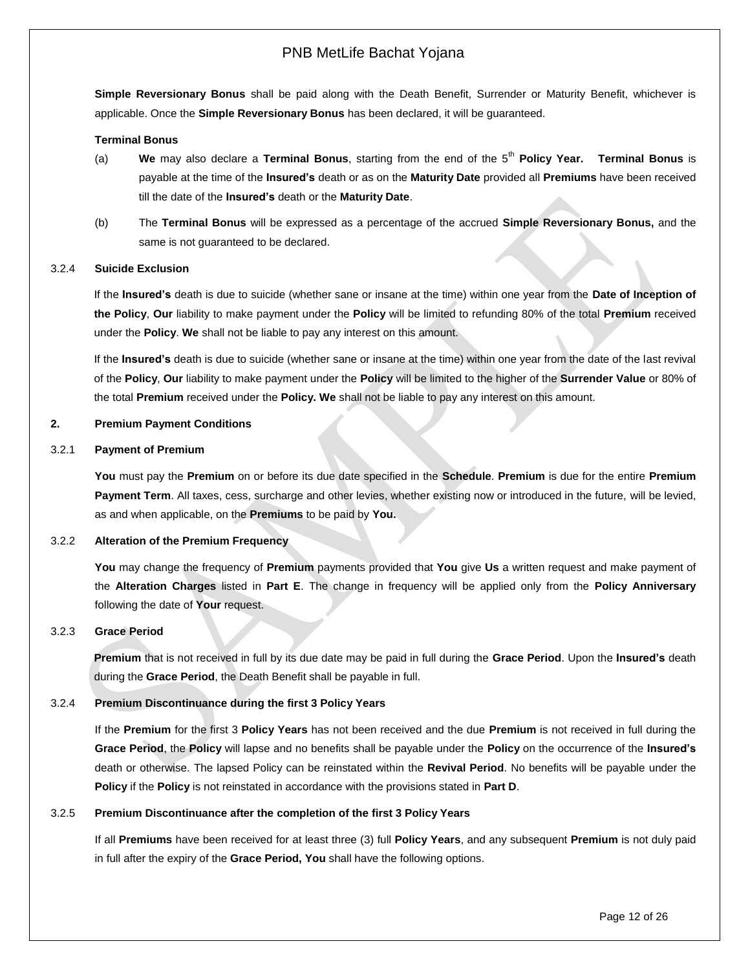**Simple Reversionary Bonus** shall be paid along with the Death Benefit, Surrender or Maturity Benefit, whichever is applicable. Once the **Simple Reversionary Bonus** has been declared, it will be guaranteed.

#### **Terminal Bonus**

- (a) **We** may also declare a **Terminal Bonus**, starting from the end of the 5th **Policy Year. Terminal Bonus** is payable at the time of the **Insured's** death or as on the **Maturity Date** provided all **Premiums** have been received till the date of the **Insured's** death or the **Maturity Date**.
- (b) The **Terminal Bonus** will be expressed as a percentage of the accrued **Simple Reversionary Bonus,** and the same is not guaranteed to be declared.

#### 3.2.4 **Suicide Exclusion**

If the **Insured's** death is due to suicide (whether sane or insane at the time) within one year from the **Date of Inception of the Policy**, **Our** liability to make payment under the **Policy** will be limited to refunding 80% of the total **Premium** received under the **Policy**. **We** shall not be liable to pay any interest on this amount.

If the **Insured's** death is due to suicide (whether sane or insane at the time) within one year from the date of the last revival of the **Policy**, **Our** liability to make payment under the **Policy** will be limited to the higher of the **Surrender Value** or 80% of the total **Premium** received under the **Policy. We** shall not be liable to pay any interest on this amount.

#### **2. Premium Payment Conditions**

#### 3.2.1 **Payment of Premium**

**You** must pay the **Premium** on or before its due date specified in the **Schedule**. **Premium** is due for the entire **Premium Payment Term**. All taxes, cess, surcharge and other levies, whether existing now or introduced in the future, will be levied, as and when applicable, on the **Premiums** to be paid by **You.**

#### 3.2.2 **Alteration of the Premium Frequency**

**You** may change the frequency of **Premium** payments provided that **You** give **Us** a written request and make payment of the **Alteration Charges** listed in **Part E**. The change in frequency will be applied only from the **Policy Anniversary** following the date of **Your** request.

#### 3.2.3 **Grace Period**

**Premium** that is not received in full by its due date may be paid in full during the **Grace Period**. Upon the **Insured's** death during the **Grace Period**, the Death Benefit shall be payable in full.

#### 3.2.4 **Premium Discontinuance during the first 3 Policy Years**

If the **Premium** for the first 3 **Policy Years** has not been received and the due **Premium** is not received in full during the **Grace Period**, the **Policy** will lapse and no benefits shall be payable under the **Policy** on the occurrence of the **Insured's** death or otherwise. The lapsed Policy can be reinstated within the **Revival Period**. No benefits will be payable under the **Policy** if the **Policy** is not reinstated in accordance with the provisions stated in **Part D**.

#### 3.2.5 **Premium Discontinuance after the completion of the first 3 Policy Years**

If all **Premiums** have been received for at least three (3) full **Policy Years**, and any subsequent **Premium** is not duly paid in full after the expiry of the **Grace Period, You** shall have the following options.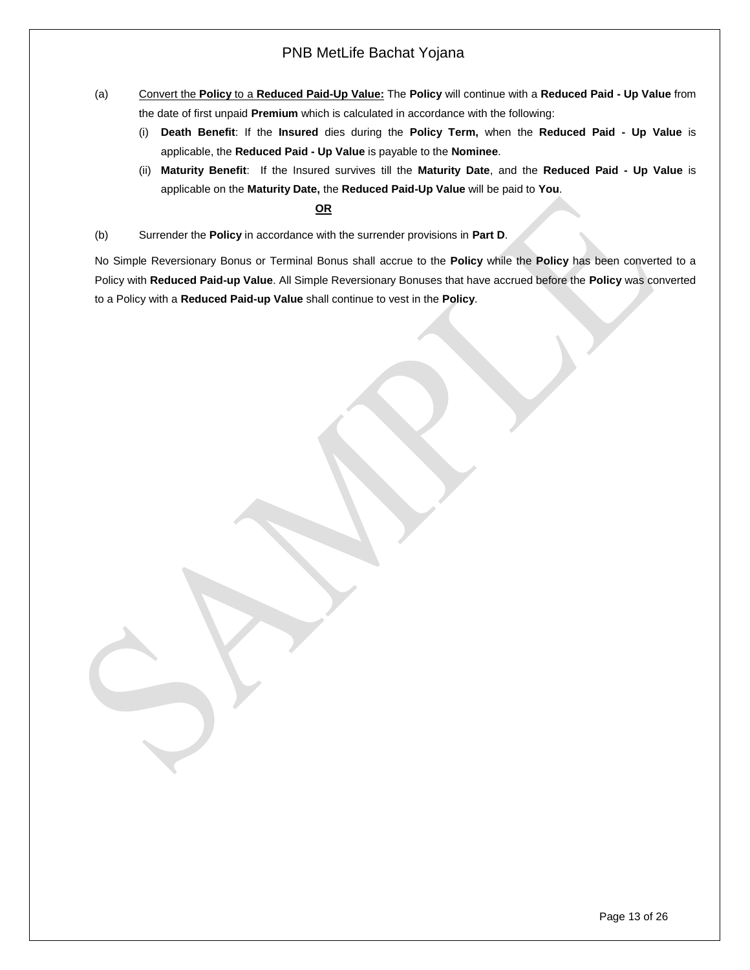- (a) Convert the **Policy** to a **Reduced Paid-Up Value:** The **Policy** will continue with a **Reduced Paid - Up Value** from the date of first unpaid **Premium** which is calculated in accordance with the following:
	- (i) **Death Benefit**: If the **Insured** dies during the **Policy Term,** when the **Reduced Paid - Up Value** is applicable, the **Reduced Paid - Up Value** is payable to the **Nominee**.
	- (ii) **Maturity Benefit**: If the Insured survives till the **Maturity Date**, and the **Reduced Paid - Up Value** is applicable on the **Maturity Date,** the **Reduced Paid-Up Value** will be paid to **You**.

## **OR**

(b) Surrender the **Policy** in accordance with the surrender provisions in **Part D**.

No Simple Reversionary Bonus or Terminal Bonus shall accrue to the **Policy** while the **Policy** has been converted to a Policy with **Reduced Paid-up Value**. All Simple Reversionary Bonuses that have accrued before the **Policy** was converted to a Policy with a **Reduced Paid-up Value** shall continue to vest in the **Policy**.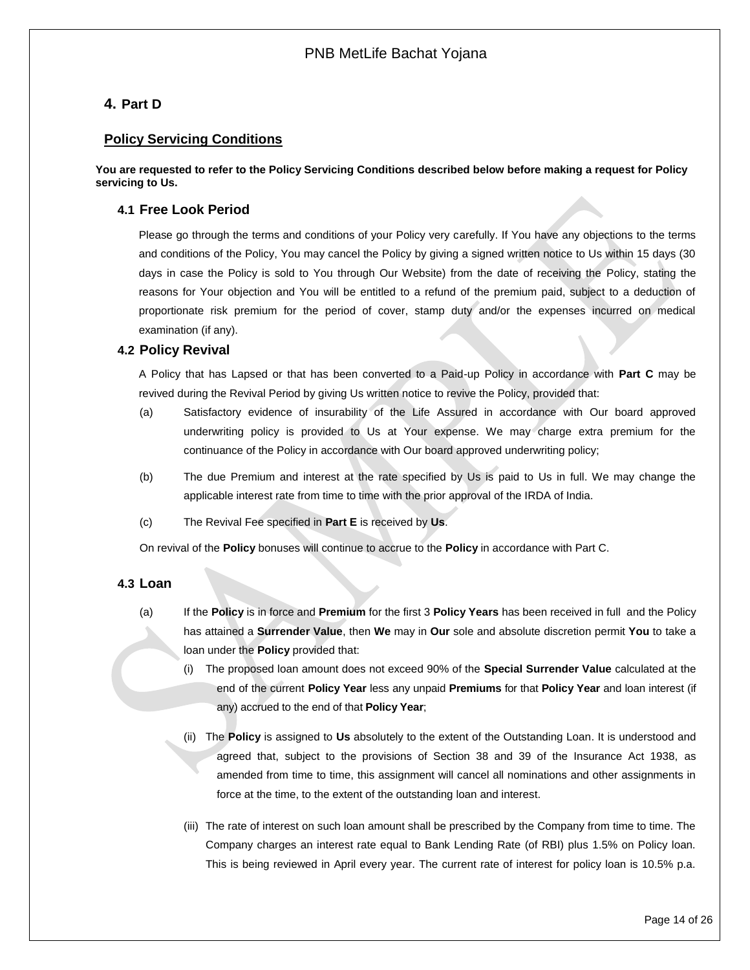# <span id="page-13-0"></span>**4. Part D**

## **Policy Servicing Conditions**

**You are requested to refer to the Policy Servicing Conditions described below before making a request for Policy servicing to Us.**

## <span id="page-13-1"></span>**4.1 Free Look Period**

Please go through the terms and conditions of your Policy very carefully. If You have any objections to the terms and conditions of the Policy, You may cancel the Policy by giving a signed written notice to Us within 15 days (30 days in case the Policy is sold to You through Our Website) from the date of receiving the Policy, stating the reasons for Your objection and You will be entitled to a refund of the premium paid, subject to a deduction of proportionate risk premium for the period of cover, stamp duty and/or the expenses incurred on medical examination (if any).

## <span id="page-13-2"></span>**4.2 Policy Revival**

A Policy that has Lapsed or that has been converted to a Paid-up Policy in accordance with **Part C** may be revived during the Revival Period by giving Us written notice to revive the Policy, provided that:

- (a) Satisfactory evidence of insurability of the Life Assured in accordance with Our board approved underwriting policy is provided to Us at Your expense. We may charge extra premium for the continuance of the Policy in accordance with Our board approved underwriting policy;
- (b) The due Premium and interest at the rate specified by Us is paid to Us in full. We may change the applicable interest rate from time to time with the prior approval of the IRDA of India.
- (c) The Revival Fee specified in **Part E** is received by **Us**.

On revival of the **Policy** bonuses will continue to accrue to the **Policy** in accordance with Part C.

## <span id="page-13-3"></span>**4.3 Loan**

- (a) If the **Policy** is in force and **Premium** for the first 3 **Policy Years** has been received in full and the Policy has attained a **Surrender Value**, then **We** may in **Our** sole and absolute discretion permit **You** to take a loan under the **Policy** provided that:
	- (i) The proposed loan amount does not exceed 90% of the **Special Surrender Value** calculated at the end of the current **Policy Year** less any unpaid **Premiums** for that **Policy Year** and loan interest (if any) accrued to the end of that **Policy Year**;
	- (ii) The **Policy** is assigned to **Us** absolutely to the extent of the Outstanding Loan. It is understood and agreed that, subject to the provisions of Section 38 and 39 of the Insurance Act 1938, as amended from time to time, this assignment will cancel all nominations and other assignments in force at the time, to the extent of the outstanding loan and interest.
	- (iii) The rate of interest on such loan amount shall be prescribed by the Company from time to time. The Company charges an interest rate equal to Bank Lending Rate (of RBI) plus 1.5% on Policy loan. This is being reviewed in April every year. The current rate of interest for policy loan is 10.5% p.a.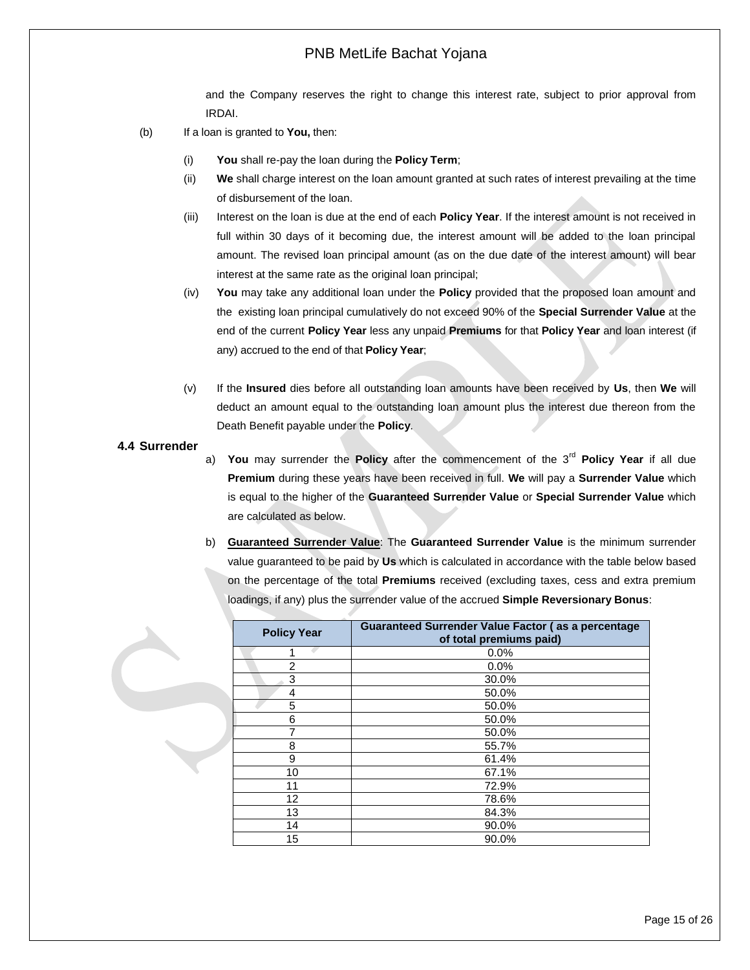and the Company reserves the right to change this interest rate, subject to prior approval from IRDAI.

- (b) If a loan is granted to **You,** then:
	- (i) **You** shall re-pay the loan during the **Policy Term**;
	- (ii) **We** shall charge interest on the loan amount granted at such rates of interest prevailing at the time of disbursement of the loan.
	- (iii) Interest on the loan is due at the end of each **Policy Year**. If the interest amount is not received in full within 30 days of it becoming due, the interest amount will be added to the loan principal amount. The revised loan principal amount (as on the due date of the interest amount) will bear interest at the same rate as the original loan principal;
	- (iv) **You** may take any additional loan under the **Policy** provided that the proposed loan amount and the existing loan principal cumulatively do not exceed 90% of the **Special Surrender Value** at the end of the current **Policy Year** less any unpaid **Premiums** for that **Policy Year** and loan interest (if any) accrued to the end of that **Policy Year**;
	- (v) If the **Insured** dies before all outstanding loan amounts have been received by **Us**, then **We** will deduct an amount equal to the outstanding loan amount plus the interest due thereon from the Death Benefit payable under the **Policy**.

#### <span id="page-14-0"></span>**4.4 Surrender**

- a) **You** may surrender the **Policy** after the commencement of the 3rd **Policy Year** if all due **Premium** during these years have been received in full. **We** will pay a **Surrender Value** which is equal to the higher of the **Guaranteed Surrender Value** or **Special Surrender Value** which are calculated as below.
- b) **Guaranteed Surrender Value**: The **Guaranteed Surrender Value** is the minimum surrender value guaranteed to be paid by **Us** which is calculated in accordance with the table below based on the percentage of the total **Premiums** received (excluding taxes, cess and extra premium loadings, if any) plus the surrender value of the accrued **Simple Reversionary Bonus**:

| <b>Policy Year</b> | Guaranteed Surrender Value Factor (as a percentage<br>of total premiums paid) |
|--------------------|-------------------------------------------------------------------------------|
|                    | 0.0%                                                                          |
| $\overline{2}$     | 0.0%                                                                          |
| 3                  | 30.0%                                                                         |
| 4                  | 50.0%                                                                         |
| 5                  | 50.0%                                                                         |
| 6                  | 50.0%                                                                         |
| 7                  | 50.0%                                                                         |
| 8                  | 55.7%                                                                         |
| 9                  | 61.4%                                                                         |
| 10                 | 67.1%                                                                         |
| 11                 | 72.9%                                                                         |
| 12                 | 78.6%                                                                         |
| 13                 | 84.3%                                                                         |
| 14                 | 90.0%                                                                         |
| 15                 | 90.0%                                                                         |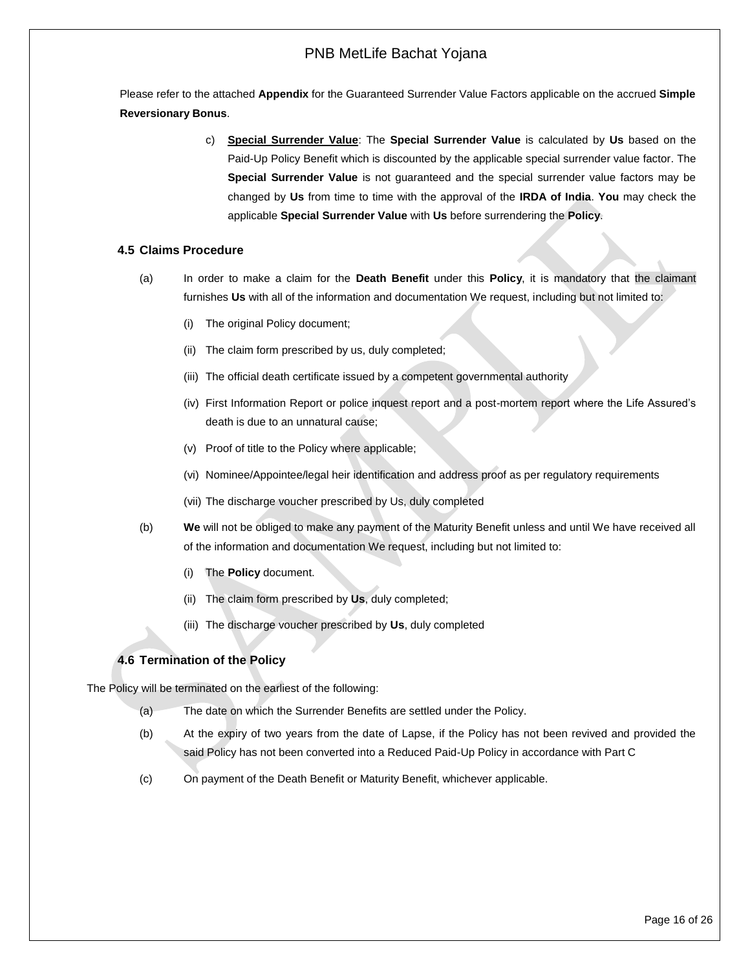Please refer to the attached **Appendix** for the Guaranteed Surrender Value Factors applicable on the accrued **Simple Reversionary Bonus**.

> c) **Special Surrender Value**: The **Special Surrender Value** is calculated by **Us** based on the Paid-Up Policy Benefit which is discounted by the applicable special surrender value factor. The **Special Surrender Value** is not guaranteed and the special surrender value factors may be changed by **Us** from time to time with the approval of the **IRDA of India**. **You** may check the applicable **Special Surrender Value** with **Us** before surrendering the **Policy**.

## <span id="page-15-0"></span>**4.5 Claims Procedure**

- (a) In order to make a claim for the **Death Benefit** under this **Policy**, it is mandatory that the claimant furnishes **Us** with all of the information and documentation We request, including but not limited to:
	- (i) The original Policy document;
	- (ii) The claim form prescribed by us, duly completed;
	- (iii) The official death certificate issued by a competent governmental authority
	- (iv) First Information Report or police inquest report and a post-mortem report where the Life Assured's death is due to an unnatural cause;
	- (v) Proof of title to the Policy where applicable;
	- (vi) Nominee/Appointee/legal heir identification and address proof as per regulatory requirements
	- (vii) The discharge voucher prescribed by Us, duly completed
- (b) **We** will not be obliged to make any payment of the Maturity Benefit unless and until We have received all of the information and documentation We request, including but not limited to:
	- (i) The **Policy** document.
	- (ii) The claim form prescribed by **Us**, duly completed;
	- (iii) The discharge voucher prescribed by **Us**, duly completed

## <span id="page-15-1"></span>**4.6 Termination of the Policy**

<span id="page-15-2"></span>The Policy will be terminated on the earliest of the following:

- (a) The date on which the Surrender Benefits are settled under the Policy.
- (b) At the expiry of two years from the date of Lapse, if the Policy has not been revived and provided the said Policy has not been converted into a Reduced Paid-Up Policy in accordance with Part C
- (c) On payment of the Death Benefit or Maturity Benefit, whichever applicable.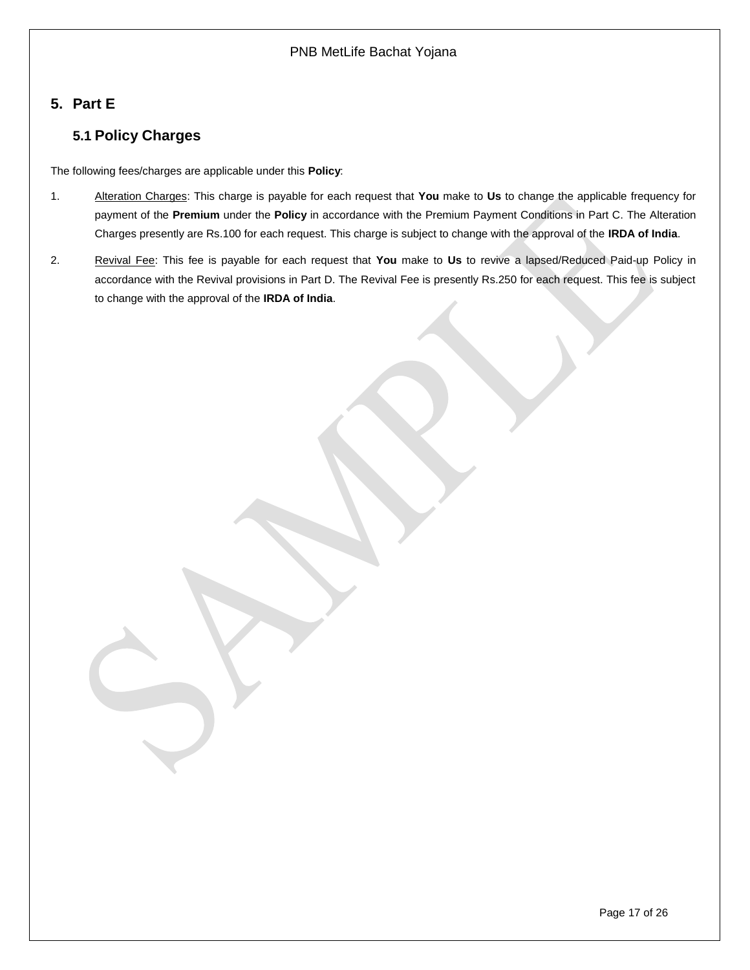# <span id="page-16-1"></span><span id="page-16-0"></span>**5. Part E**

# **5.1 Policy Charges**

The following fees/charges are applicable under this **Policy**:

- 1. Alteration Charges: This charge is payable for each request that **You** make to **Us** to change the applicable frequency for payment of the **Premium** under the **Policy** in accordance with the Premium Payment Conditions in Part C. The Alteration Charges presently are Rs.100 for each request. This charge is subject to change with the approval of the **IRDA of India**.
- 2. Revival Fee: This fee is payable for each request that **You** make to **Us** to revive a lapsed/Reduced Paid-up Policy in accordance with the Revival provisions in Part D. The Revival Fee is presently Rs.250 for each request. This fee is subject to change with the approval of the **IRDA of India**.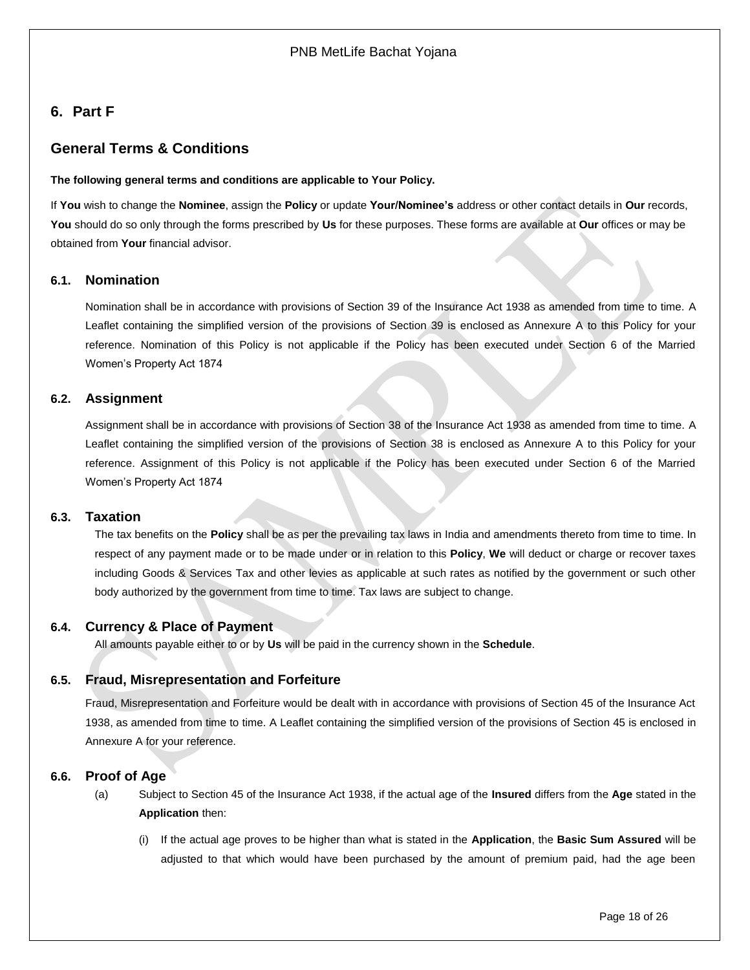# <span id="page-17-0"></span>**6. Part F**

# **General Terms & Conditions**

#### **The following general terms and conditions are applicable to Your Policy.**

If **You** wish to change the **Nominee**, assign the **Policy** or update **Your/Nominee's** address or other contact details in **Our** records, **You** should do so only through the forms prescribed by **Us** for these purposes. These forms are available at **Our** offices or may be obtained from **Your** financial advisor.

## <span id="page-17-1"></span>**6.1. Nomination**

Nomination shall be in accordance with provisions of Section 39 of the Insurance Act 1938 as amended from time to time. A Leaflet containing the simplified version of the provisions of Section 39 is enclosed as Annexure A to this Policy for your reference. Nomination of this Policy is not applicable if the Policy has been executed under Section 6 of the Married Women's Property Act 1874

## <span id="page-17-2"></span>**6.2. Assignment**

Assignment shall be in accordance with provisions of Section 38 of the Insurance Act 1938 as amended from time to time. A Leaflet containing the simplified version of the provisions of Section 38 is enclosed as Annexure A to this Policy for your reference. Assignment of this Policy is not applicable if the Policy has been executed under Section 6 of the Married Women's Property Act 1874

### <span id="page-17-3"></span>**6.3. Taxation**

The tax benefits on the **Policy** shall be as per the prevailing tax laws in India and amendments thereto from time to time. In respect of any payment made or to be made under or in relation to this **Policy**, **We** will deduct or charge or recover taxes including Goods & Services Tax and other levies as applicable at such rates as notified by the government or such other body authorized by the government from time to time. Tax laws are subject to change.

### <span id="page-17-4"></span>**6.4. Currency & Place of Payment**

All amounts payable either to or by **Us** will be paid in the currency shown in the **Schedule**.

## <span id="page-17-5"></span>**6.5. Fraud, Misrepresentation and Forfeiture**

Fraud, Misrepresentation and Forfeiture would be dealt with in accordance with provisions of Section 45 of the Insurance Act 1938, as amended from time to time. A Leaflet containing the simplified version of the provisions of Section 45 is enclosed in Annexure A for your reference.

### <span id="page-17-6"></span>**6.6. Proof of Age**

- (a) Subject to Section 45 of the Insurance Act 1938, if the actual age of the **Insured** differs from the **Age** stated in the **Application** then:
	- (i) If the actual age proves to be higher than what is stated in the **Application**, the **Basic Sum Assured** will be adjusted to that which would have been purchased by the amount of premium paid, had the age been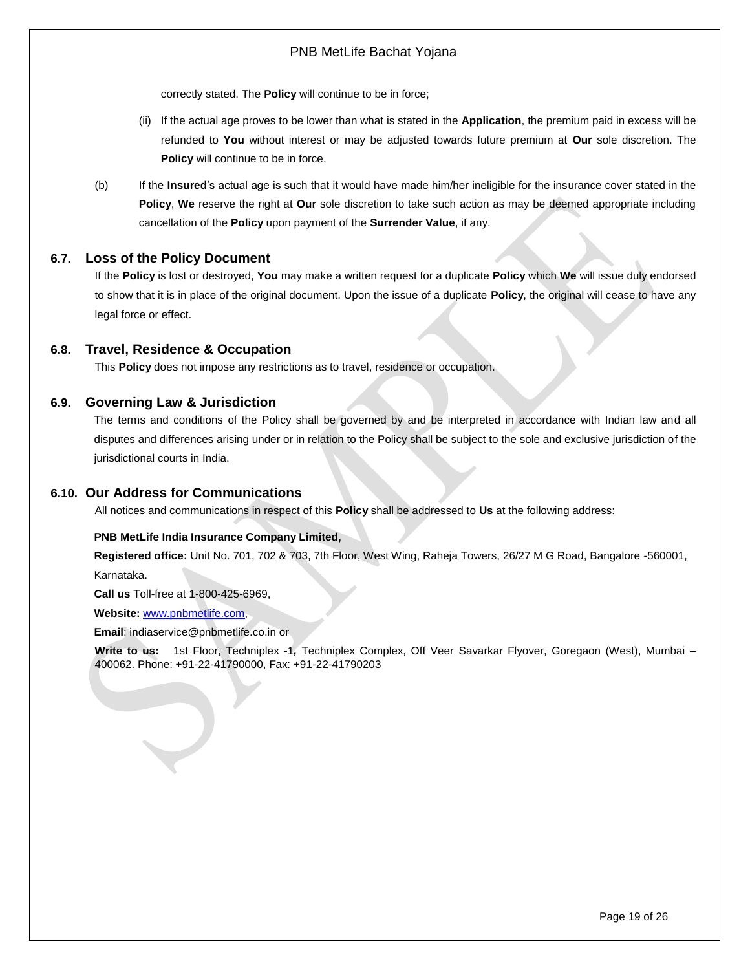correctly stated. The **Policy** will continue to be in force;

- (ii) If the actual age proves to be lower than what is stated in the **Application**, the premium paid in excess will be refunded to **You** without interest or may be adjusted towards future premium at **Our** sole discretion. The **Policy** will continue to be in force.
- (b) If the **Insured**'s actual age is such that it would have made him/her ineligible for the insurance cover stated in the **Policy**, **We** reserve the right at **Our** sole discretion to take such action as may be deemed appropriate including cancellation of the **Policy** upon payment of the **Surrender Value**, if any.

## <span id="page-18-0"></span>**6.7. Loss of the Policy Document**

If the **Policy** is lost or destroyed, **You** may make a written request for a duplicate **Policy** which **We** will issue duly endorsed to show that it is in place of the original document. Upon the issue of a duplicate **Policy**, the original will cease to have any legal force or effect.

### <span id="page-18-1"></span>**6.8. Travel, Residence & Occupation**

This **Policy** does not impose any restrictions as to travel, residence or occupation.

#### <span id="page-18-2"></span>**6.9. Governing Law & Jurisdiction**

The terms and conditions of the Policy shall be governed by and be interpreted in accordance with Indian law and all disputes and differences arising under or in relation to the Policy shall be subject to the sole and exclusive jurisdiction of the jurisdictional courts in India.

#### <span id="page-18-3"></span>**6.10. Our Address for Communications**

All notices and communications in respect of this **Policy** shall be addressed to **Us** at the following address:

#### **PNB MetLife India Insurance Company Limited,**

**Registered office:** Unit No. 701, 702 & 703, 7th Floor, West Wing, Raheja Towers, 26/27 M G Road, Bangalore -560001,

Karnataka.

**Call us** Toll-free at 1-800-425-6969,

**Website:** [www.pnbmetlife.com,](http://www.pnbmetlife.com/)

**Email**: indiaservice@pnbmetlife.co.in or

**Write to us:** 1st Floor, Techniplex -1*,* Techniplex Complex, Off Veer Savarkar Flyover, Goregaon (West), Mumbai – 400062. Phone: +91-22-41790000, Fax: +91-22-41790203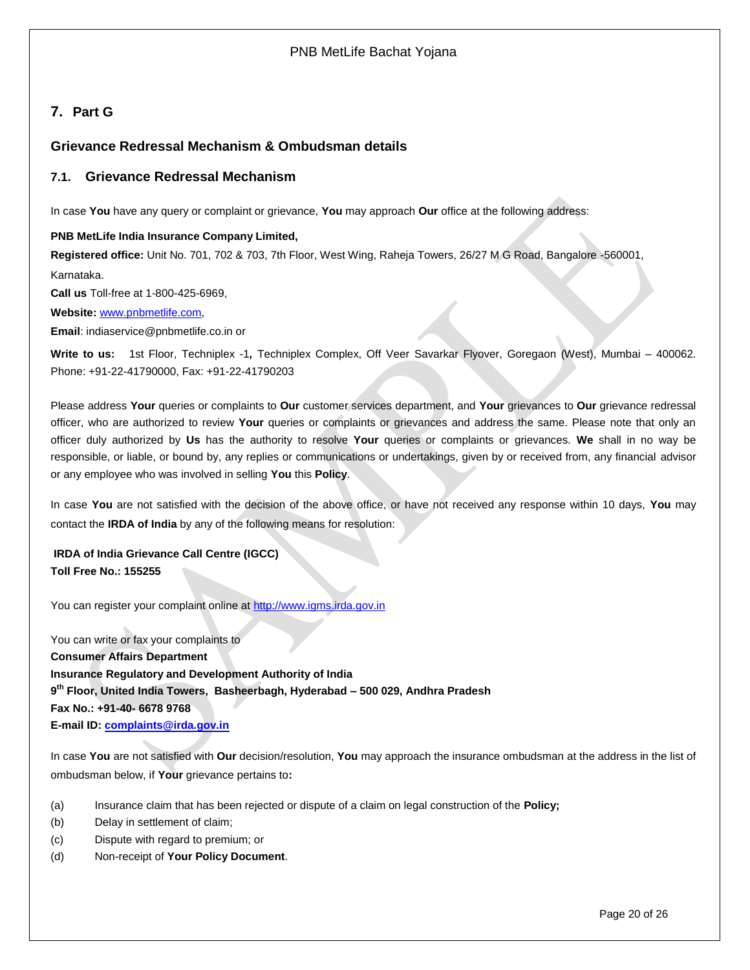# <span id="page-19-0"></span>**7. Part G**

## <span id="page-19-1"></span>**Grievance Redressal Mechanism & Ombudsman details**

## **7.1. Grievance Redressal Mechanism**

In case **You** have any query or complaint or grievance, **You** may approach **Our** office at the following address:

#### **PNB MetLife India Insurance Company Limited,**

**Registered office:** Unit No. 701, 702 & 703, 7th Floor, West Wing, Raheja Towers, 26/27 M G Road, Bangalore -560001, Karnataka.

**Call us** Toll-free at 1-800-425-6969,

**Website:** [www.pnbmetlife.com,](http://www.pnbmetlife.com/)

**Email**: indiaservice@pnbmetlife.co.in or

**Write to us:** 1st Floor, Techniplex -1*,* Techniplex Complex, Off Veer Savarkar Flyover, Goregaon (West), Mumbai – 400062. Phone: +91-22-41790000, Fax: +91-22-41790203

Please address **Your** queries or complaints to **Our** customer services department, and **Your** grievances to **Our** grievance redressal officer, who are authorized to review **Your** queries or complaints or grievances and address the same. Please note that only an officer duly authorized by **Us** has the authority to resolve **Your** queries or complaints or grievances. **We** shall in no way be responsible, or liable, or bound by, any replies or communications or undertakings, given by or received from, any financial advisor or any employee who was involved in selling **You** this **Policy**.

In case **You** are not satisfied with the decision of the above office, or have not received any response within 10 days, **You** may contact the **IRDA of India** by any of the following means for resolution:

**IRDA of India Grievance Call Centre (IGCC) Toll Free No.: 155255**

You can register your complaint online at [http://www.igms.irda.gov.in](http://www.igms.irda.gov.in/)

You can write or fax your complaints to **Consumer Affairs Department Insurance Regulatory and Development Authority of India 9 th Floor, United India Towers, Basheerbagh, Hyderabad – 500 029, Andhra Pradesh Fax No.: +91-40- 6678 9768 E-mail ID[: complaints@irda.gov.in](mailto:complaints@irda.gov.in)**

In case **You** are not satisfied with **Our** decision/resolution, **You** may approach the insurance ombudsman at the address in the list of ombudsman below, if **Your** grievance pertains to**:**

- (a) Insurance claim that has been rejected or dispute of a claim on legal construction of the **Policy;**
- (b) Delay in settlement of claim;
- (c) Dispute with regard to premium; or
- (d) Non-receipt of **Your Policy Document**.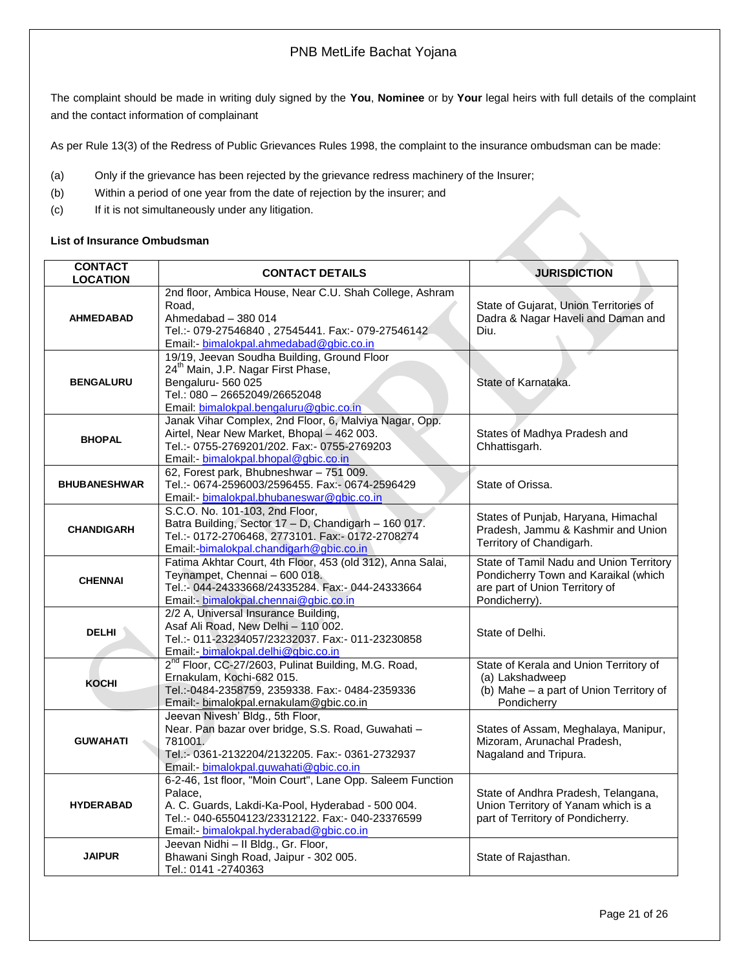The complaint should be made in writing duly signed by the **You**, **Nominee** or by **Your** legal heirs with full details of the complaint and the contact information of complainant

As per Rule 13(3) of the Redress of Public Grievances Rules 1998, the complaint to the insurance ombudsman can be made:

- (a) Only if the grievance has been rejected by the grievance redress machinery of the Insurer;
- (b) Within a period of one year from the date of rejection by the insurer; and
- (c) If it is not simultaneously under any litigation.

#### **List of Insurance Ombudsman**

| <b>CONTACT</b><br><b>LOCATION</b> | <b>CONTACT DETAILS</b>                                                                      | <b>JURISDICTION</b>                     |
|-----------------------------------|---------------------------------------------------------------------------------------------|-----------------------------------------|
|                                   | 2nd floor, Ambica House, Near C.U. Shah College, Ashram                                     |                                         |
|                                   | Road,                                                                                       | State of Gujarat, Union Territories of  |
| <b>AHMEDABAD</b>                  | Ahmedabad - 380 014                                                                         | Dadra & Nagar Haveli and Daman and      |
|                                   | Tel.:- 079-27546840, 27545441. Fax:- 079-27546142                                           | Diu.                                    |
|                                   | Email: bimalokpal.ahmedabad@gbic.co.in<br>19/19, Jeevan Soudha Building, Ground Floor       |                                         |
|                                   | 24 <sup>th</sup> Main, J.P. Nagar First Phase,                                              |                                         |
| <b>BENGALURU</b>                  | Bengaluru-560 025                                                                           | State of Karnataka.                     |
|                                   | Tel.: 080 - 26652049/26652048                                                               |                                         |
|                                   | Email: bimalokpal.bengaluru@gbic.co.in                                                      |                                         |
|                                   | Janak Vihar Complex, 2nd Floor, 6, Malviya Nagar, Opp.                                      |                                         |
| <b>BHOPAL</b>                     | Airtel, Near New Market, Bhopal - 462 003.                                                  | States of Madhya Pradesh and            |
|                                   | Tel.:- 0755-2769201/202. Fax:- 0755-2769203                                                 | Chhattisgarh.                           |
|                                   | Email: - bimalokpal.bhopal@gbic.co.in                                                       |                                         |
|                                   | 62, Forest park, Bhubneshwar - 751 009.                                                     |                                         |
| <b>BHUBANESHWAR</b>               | Tel.:- 0674-2596003/2596455. Fax:- 0674-2596429                                             | State of Orissa.                        |
|                                   | Email:- bimalokpal.bhubaneswar@gbic.co.in                                                   |                                         |
|                                   | S.C.O. No. 101-103, 2nd Floor,                                                              | States of Punjab, Haryana, Himachal     |
| <b>CHANDIGARH</b>                 | Batra Building, Sector 17 - D, Chandigarh - 160 017.                                        | Pradesh, Jammu & Kashmir and Union      |
|                                   | Tel.:- 0172-2706468, 2773101. Fax:- 0172-2708274<br>Email:-bimalokpal.chandigarh@gbic.co.in | Territory of Chandigarh.                |
|                                   | Fatima Akhtar Court, 4th Floor, 453 (old 312), Anna Salai,                                  | State of Tamil Nadu and Union Territory |
|                                   | Teynampet, Chennai - 600 018.                                                               | Pondicherry Town and Karaikal (which    |
| <b>CHENNAI</b>                    | Tel.:- 044-24333668/24335284. Fax:- 044-24333664                                            | are part of Union Territory of          |
|                                   | Email: bimalokpal.chennai@gbic.co.in                                                        | Pondicherry).                           |
|                                   | 2/2 A, Universal Insurance Building,                                                        |                                         |
| <b>DELHI</b>                      | Asaf Ali Road, New Delhi - 110 002.                                                         | State of Delhi.                         |
|                                   | Tel.:- 011-23234057/23232037. Fax:- 011-23230858                                            |                                         |
|                                   | Email:- bimalokpal.delhi@gbic.co.in                                                         |                                         |
|                                   | 2 <sup>nd</sup> Floor, CC-27/2603, Pulinat Building, M.G. Road,                             | State of Kerala and Union Territory of  |
| <b>KOCHI</b>                      | Ernakulam, Kochi-682 015.                                                                   | (a) Lakshadweep                         |
|                                   | Tel.:-0484-2358759, 2359338. Fax:- 0484-2359336                                             | (b) Mahe - a part of Union Territory of |
|                                   | Email:- bimalokpal.ernakulam@gbic.co.in<br>Jeevan Nivesh' Bldg., 5th Floor,                 | Pondicherry                             |
|                                   | Near. Pan bazar over bridge, S.S. Road, Guwahati -                                          | States of Assam, Meghalaya, Manipur,    |
| <b>GUWAHATI</b>                   | 781001.                                                                                     | Mizoram, Arunachal Pradesh,             |
|                                   | Tel.:- 0361-2132204/2132205. Fax:- 0361-2732937                                             | Nagaland and Tripura.                   |
|                                   | Email:- bimalokpal.guwahati@gbic.co.in                                                      |                                         |
|                                   | 6-2-46, 1st floor, "Moin Court", Lane Opp. Saleem Function                                  |                                         |
|                                   | Palace.                                                                                     | State of Andhra Pradesh, Telangana,     |
| <b>HYDERABAD</b>                  | A. C. Guards, Lakdi-Ka-Pool, Hyderabad - 500 004.                                           | Union Territory of Yanam which is a     |
|                                   | Tel.:- 040-65504123/23312122. Fax:- 040-23376599                                            | part of Territory of Pondicherry.       |
|                                   | Email:- bimalokpal.hyderabad@gbic.co.in                                                     |                                         |
|                                   | Jeevan Nidhi - Il Bldg., Gr. Floor,                                                         |                                         |
| <b>JAIPUR</b>                     | Bhawani Singh Road, Jaipur - 302 005.<br>Tel.: 0141 -2740363                                | State of Rajasthan.                     |
|                                   |                                                                                             |                                         |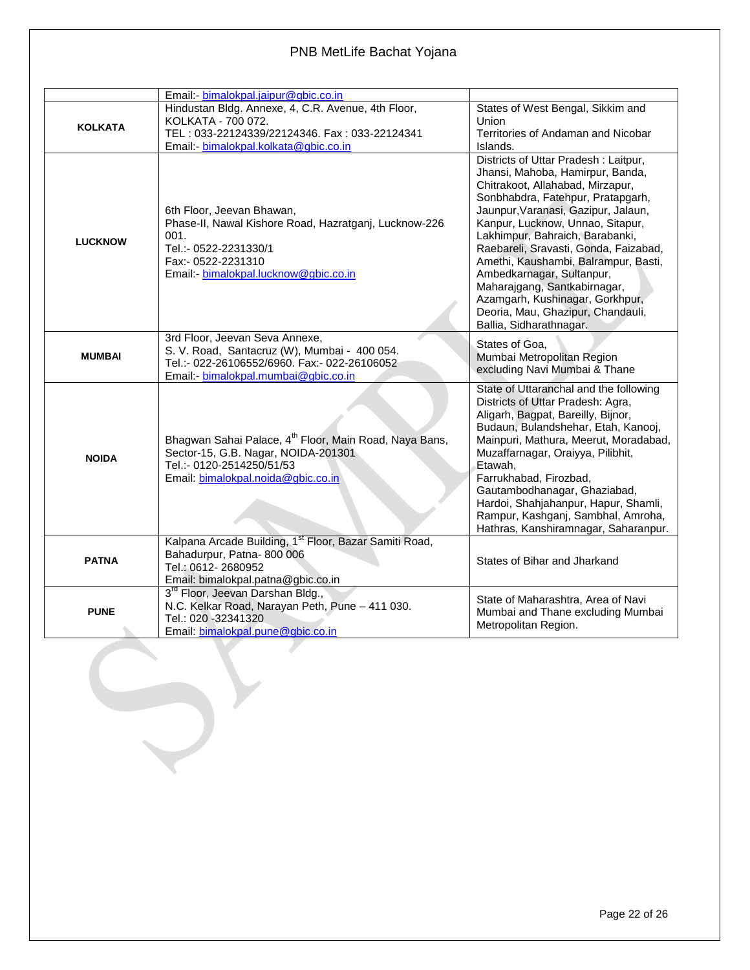|                | Email - bimalokpal.jaipur@gbic.co.in                                                                                                                                               |                                                                                                                                                                                                                                                                                                                                                                                                                                                                                                                  |
|----------------|------------------------------------------------------------------------------------------------------------------------------------------------------------------------------------|------------------------------------------------------------------------------------------------------------------------------------------------------------------------------------------------------------------------------------------------------------------------------------------------------------------------------------------------------------------------------------------------------------------------------------------------------------------------------------------------------------------|
| <b>KOLKATA</b> | Hindustan Bldg. Annexe, 4, C.R. Avenue, 4th Floor,<br>KOLKATA - 700 072.<br>TEL: 033-22124339/22124346. Fax: 033-22124341<br>Email:- bimalokpal.kolkata@gbic.co.in                 | States of West Bengal, Sikkim and<br>Union<br>Territories of Andaman and Nicobar<br>Islands.                                                                                                                                                                                                                                                                                                                                                                                                                     |
| <b>LUCKNOW</b> | 6th Floor, Jeevan Bhawan,<br>Phase-II, Nawal Kishore Road, Hazratganj, Lucknow-226<br>001.<br>Tel.:- 0522-2231330/1<br>Fax:- 0522-2231310<br>Email:- bimalokpal.lucknow@gbic.co.in | Districts of Uttar Pradesh: Laitpur,<br>Jhansi, Mahoba, Hamirpur, Banda,<br>Chitrakoot, Allahabad, Mirzapur,<br>Sonbhabdra, Fatehpur, Pratapgarh,<br>Jaunpur, Varanasi, Gazipur, Jalaun,<br>Kanpur, Lucknow, Unnao, Sitapur,<br>Lakhimpur, Bahraich, Barabanki,<br>Raebareli, Sravasti, Gonda, Faizabad,<br>Amethi, Kaushambi, Balrampur, Basti,<br>Ambedkarnagar, Sultanpur,<br>Maharajgang, Santkabirnagar,<br>Azamgarh, Kushinagar, Gorkhpur,<br>Deoria, Mau, Ghazipur, Chandauli,<br>Ballia, Sidharathnagar. |
| <b>MUMBAI</b>  | 3rd Floor, Jeevan Seva Annexe,<br>S. V. Road, Santacruz (W), Mumbai - 400 054.<br>Tel.:- 022-26106552/6960. Fax:- 022-26106052<br>Email: - bimalokpal.mumbai@gbic.co.in            | States of Goa.<br>Mumbai Metropolitan Region<br>excluding Navi Mumbai & Thane                                                                                                                                                                                                                                                                                                                                                                                                                                    |
| <b>NOIDA</b>   | Bhagwan Sahai Palace, 4 <sup>th</sup> Floor, Main Road, Naya Bans,<br>Sector-15, G.B. Nagar, NOIDA-201301<br>Tel.:- 0120-2514250/51/53<br>Email: bimalokpal.noida@gbic.co.in       | State of Uttaranchal and the following<br>Districts of Uttar Pradesh: Agra,<br>Aligarh, Bagpat, Bareilly, Bijnor,<br>Budaun, Bulandshehar, Etah, Kanooj,<br>Mainpuri, Mathura, Meerut, Moradabad,<br>Muzaffarnagar, Oraiyya, Pilibhit,<br>Etawah,<br>Farrukhabad, Firozbad,<br>Gautambodhanagar, Ghaziabad,<br>Hardoi, Shahjahanpur, Hapur, Shamli,<br>Rampur, Kashganj, Sambhal, Amroha,<br>Hathras, Kanshiramnagar, Saharanpur.                                                                                |
| <b>PATNA</b>   | Kalpana Arcade Building, 1 <sup>st</sup> Floor, Bazar Samiti Road,<br>Bahadurpur, Patna-800 006<br>Tel.: 0612-2680952<br>Email: bimalokpal.patna@gbic.co.in                        | States of Bihar and Jharkand                                                                                                                                                                                                                                                                                                                                                                                                                                                                                     |
| <b>PUNE</b>    | 3 <sup>rd</sup> Floor, Jeevan Darshan Bldg.,<br>N.C. Kelkar Road, Narayan Peth, Pune - 411 030.<br>Tel.: 020 -32341320<br>Email: bimalokpal.pune@gbic.co.in                        | State of Maharashtra, Area of Navi<br>Mumbai and Thane excluding Mumbai<br>Metropolitan Region.                                                                                                                                                                                                                                                                                                                                                                                                                  |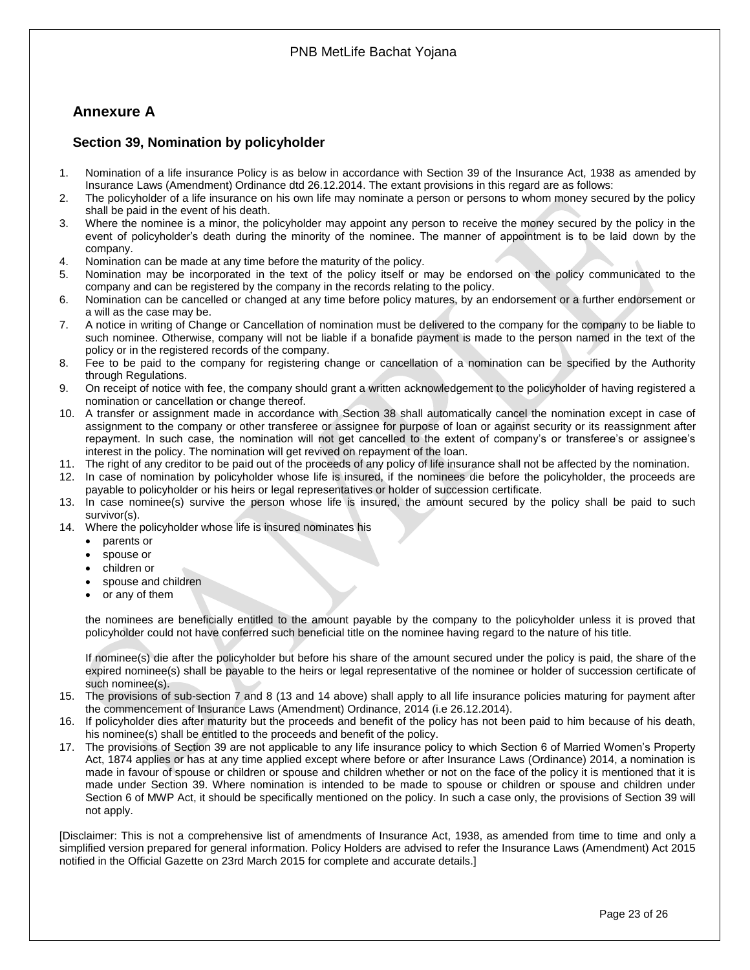# <span id="page-22-0"></span>**Annexure A**

## <span id="page-22-1"></span>**Section 39, Nomination by policyholder**

- 1. Nomination of a life insurance Policy is as below in accordance with Section 39 of the Insurance Act, 1938 as amended by Insurance Laws (Amendment) Ordinance dtd 26.12.2014. The extant provisions in this regard are as follows:
- 2. The policyholder of a life insurance on his own life may nominate a person or persons to whom money secured by the policy shall be paid in the event of his death.
- 3. Where the nominee is a minor, the policyholder may appoint any person to receive the money secured by the policy in the event of policyholder's death during the minority of the nominee. The manner of appointment is to be laid down by the company.
- 4. Nomination can be made at any time before the maturity of the policy.
- 5. Nomination may be incorporated in the text of the policy itself or may be endorsed on the policy communicated to the company and can be registered by the company in the records relating to the policy.
- 6. Nomination can be cancelled or changed at any time before policy matures, by an endorsement or a further endorsement or a will as the case may be.
- 7. A notice in writing of Change or Cancellation of nomination must be delivered to the company for the company to be liable to such nominee. Otherwise, company will not be liable if a bonafide payment is made to the person named in the text of the policy or in the registered records of the company.
- 8. Fee to be paid to the company for registering change or cancellation of a nomination can be specified by the Authority through Regulations.
- 9. On receipt of notice with fee, the company should grant a written acknowledgement to the policyholder of having registered a nomination or cancellation or change thereof.
- 10. A transfer or assignment made in accordance with Section 38 shall automatically cancel the nomination except in case of assignment to the company or other transferee or assignee for purpose of loan or against security or its reassignment after repayment. In such case, the nomination will not get cancelled to the extent of company's or transferee's or assignee's interest in the policy. The nomination will get revived on repayment of the loan.
- 11. The right of any creditor to be paid out of the proceeds of any policy of life insurance shall not be affected by the nomination.
- 12. In case of nomination by policyholder whose life is insured, if the nominees die before the policyholder, the proceeds are payable to policyholder or his heirs or legal representatives or holder of succession certificate.
- 13. In case nominee(s) survive the person whose life is insured, the amount secured by the policy shall be paid to such survivor(s).
- 14. Where the policyholder whose life is insured nominates his
	- parents or
	- spouse or
	- children or
	- spouse and children
	- or any of them

the nominees are beneficially entitled to the amount payable by the company to the policyholder unless it is proved that policyholder could not have conferred such beneficial title on the nominee having regard to the nature of his title.

If nominee(s) die after the policyholder but before his share of the amount secured under the policy is paid, the share of the expired nominee(s) shall be payable to the heirs or legal representative of the nominee or holder of succession certificate of such nominee(s).

- 15. The provisions of sub-section 7 and 8 (13 and 14 above) shall apply to all life insurance policies maturing for payment after the commencement of Insurance Laws (Amendment) Ordinance, 2014 (i.e 26.12.2014).
- 16. If policyholder dies after maturity but the proceeds and benefit of the policy has not been paid to him because of his death, his nominee(s) shall be entitled to the proceeds and benefit of the policy.
- 17. The provisions of Section 39 are not applicable to any life insurance policy to which Section 6 of Married Women's Property Act, 1874 applies or has at any time applied except where before or after Insurance Laws (Ordinance) 2014, a nomination is made in favour of spouse or children or spouse and children whether or not on the face of the policy it is mentioned that it is made under Section 39. Where nomination is intended to be made to spouse or children or spouse and children under Section 6 of MWP Act, it should be specifically mentioned on the policy. In such a case only, the provisions of Section 39 will not apply.

[Disclaimer: This is not a comprehensive list of amendments of Insurance Act, 1938, as amended from time to time and only a simplified version prepared for general information. Policy Holders are advised to refer the Insurance Laws (Amendment) Act 2015 notified in the Official Gazette on 23rd March 2015 for complete and accurate details.]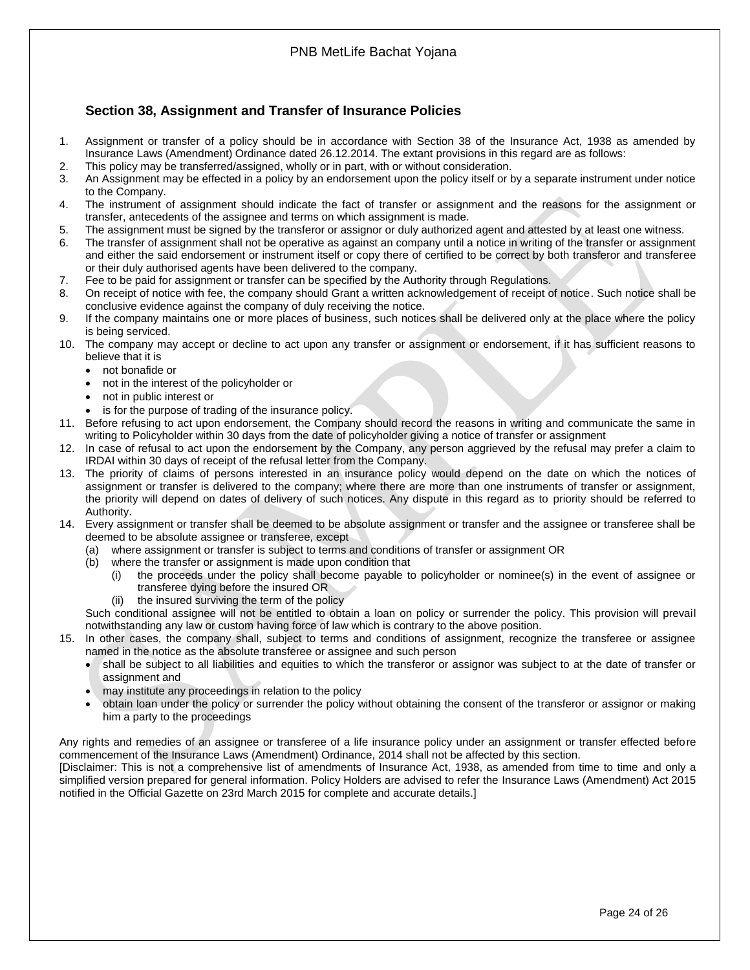# <span id="page-23-0"></span>**Section 38, Assignment and Transfer of Insurance Policies**

- 1. Assignment or transfer of a policy should be in accordance with Section 38 of the Insurance Act, 1938 as amended by Insurance Laws (Amendment) Ordinance dated 26.12.2014. The extant provisions in this regard are as follows:
- 2. This policy may be transferred/assigned, wholly or in part, with or without consideration.
- 3. An Assignment may be effected in a policy by an endorsement upon the policy itself or by a separate instrument under notice to the Company.
- 4. The instrument of assignment should indicate the fact of transfer or assignment and the reasons for the assignment or transfer, antecedents of the assignee and terms on which assignment is made.
- 5. The assignment must be signed by the transferor or assignor or duly authorized agent and attested by at least one witness.
- 6. The transfer of assignment shall not be operative as against an company until a notice in writing of the transfer or assignment and either the said endorsement or instrument itself or copy there of certified to be correct by both transferor and transferee or their duly authorised agents have been delivered to the company.
- 7. Fee to be paid for assignment or transfer can be specified by the Authority through Regulations.
- 8. On receipt of notice with fee, the company should Grant a written acknowledgement of receipt of notice. Such notice shall be conclusive evidence against the company of duly receiving the notice.
- 9. If the company maintains one or more places of business, such notices shall be delivered only at the place where the policy is being serviced.
- 10. The company may accept or decline to act upon any transfer or assignment or endorsement, if it has sufficient reasons to believe that it is
	- not bonafide or
	- not in the interest of the policyholder or
	- not in public interest or
	- is for the purpose of trading of the insurance policy.
- 11. Before refusing to act upon endorsement, the Company should record the reasons in writing and communicate the same in writing to Policyholder within 30 days from the date of policyholder giving a notice of transfer or assignment
- 12. In case of refusal to act upon the endorsement by the Company, any person aggrieved by the refusal may prefer a claim to IRDAI within 30 days of receipt of the refusal letter from the Company.
- 13. The priority of claims of persons interested in an insurance policy would depend on the date on which the notices of assignment or transfer is delivered to the company; where there are more than one instruments of transfer or assignment, the priority will depend on dates of delivery of such notices. Any dispute in this regard as to priority should be referred to Authority.
- 14. Every assignment or transfer shall be deemed to be absolute assignment or transfer and the assignee or transferee shall be deemed to be absolute assignee or transferee, except
	- (a) where assignment or transfer is subject to terms and conditions of transfer or assignment OR
	- (b) where the transfer or assignment is made upon condition that
		- (i) the proceeds under the policy shall become payable to policyholder or nominee(s) in the event of assignee or transferee dying before the insured OR
		- (ii) the insured surviving the term of the policy

Such conditional assignee will not be entitled to obtain a loan on policy or surrender the policy. This provision will prevail notwithstanding any law or custom having force of law which is contrary to the above position.

- 15. In other cases, the company shall, subject to terms and conditions of assignment, recognize the transferee or assignee named in the notice as the absolute transferee or assignee and such person
	- shall be subject to all liabilities and equities to which the transferor or assignor was subject to at the date of transfer or assignment and
	- may institute any proceedings in relation to the policy
	- obtain loan under the policy or surrender the policy without obtaining the consent of the transferor or assignor or making him a party to the proceedings

Any rights and remedies of an assignee or transferee of a life insurance policy under an assignment or transfer effected before commencement of the Insurance Laws (Amendment) Ordinance, 2014 shall not be affected by this section.

[Disclaimer: This is not a comprehensive list of amendments of Insurance Act, 1938, as amended from time to time and only a simplified version prepared for general information. Policy Holders are advised to refer the Insurance Laws (Amendment) Act 2015 notified in the Official Gazette on 23rd March 2015 for complete and accurate details.]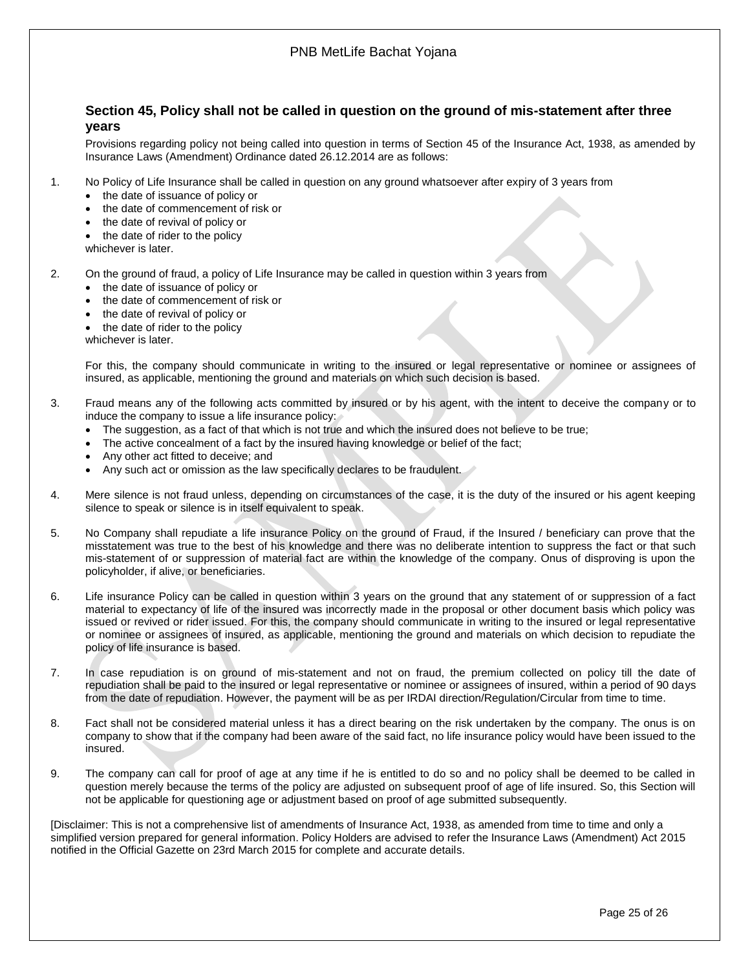## <span id="page-24-0"></span>**Section 45, Policy shall not be called in question on the ground of mis-statement after three years**

Provisions regarding policy not being called into question in terms of Section 45 of the Insurance Act, 1938, as amended by Insurance Laws (Amendment) Ordinance dated 26.12.2014 are as follows:

- 1. No Policy of Life Insurance shall be called in question on any ground whatsoever after expiry of 3 years from
	- the date of issuance of policy or
	- the date of commencement of risk or
	- the date of revival of policy or
	- the date of rider to the policy
	- whichever is later.
- 2. On the ground of fraud, a policy of Life Insurance may be called in question within 3 years from
	- the date of issuance of policy or
	- the date of commencement of risk or
	- the date of revival of policy or
	- the date of rider to the policy
	- whichever is later.

For this, the company should communicate in writing to the insured or legal representative or nominee or assignees of insured, as applicable, mentioning the ground and materials on which such decision is based.

- 3. Fraud means any of the following acts committed by insured or by his agent, with the intent to deceive the company or to induce the company to issue a life insurance policy:
	- The suggestion, as a fact of that which is not true and which the insured does not believe to be true;
	- The active concealment of a fact by the insured having knowledge or belief of the fact;
	- Any other act fitted to deceive; and
	- Any such act or omission as the law specifically declares to be fraudulent.
- 4. Mere silence is not fraud unless, depending on circumstances of the case, it is the duty of the insured or his agent keeping silence to speak or silence is in itself equivalent to speak.
- 5. No Company shall repudiate a life insurance Policy on the ground of Fraud, if the Insured / beneficiary can prove that the misstatement was true to the best of his knowledge and there was no deliberate intention to suppress the fact or that such mis-statement of or suppression of material fact are within the knowledge of the company. Onus of disproving is upon the policyholder, if alive, or beneficiaries.
- 6. Life insurance Policy can be called in question within 3 years on the ground that any statement of or suppression of a fact material to expectancy of life of the insured was incorrectly made in the proposal or other document basis which policy was issued or revived or rider issued. For this, the company should communicate in writing to the insured or legal representative or nominee or assignees of insured, as applicable, mentioning the ground and materials on which decision to repudiate the policy of life insurance is based.
- 7. In case repudiation is on ground of mis-statement and not on fraud, the premium collected on policy till the date of repudiation shall be paid to the insured or legal representative or nominee or assignees of insured, within a period of 90 days from the date of repudiation. However, the payment will be as per IRDAI direction/Regulation/Circular from time to time.
- 8. Fact shall not be considered material unless it has a direct bearing on the risk undertaken by the company. The onus is on company to show that if the company had been aware of the said fact, no life insurance policy would have been issued to the insured.
- 9. The company can call for proof of age at any time if he is entitled to do so and no policy shall be deemed to be called in question merely because the terms of the policy are adjusted on subsequent proof of age of life insured. So, this Section will not be applicable for questioning age or adjustment based on proof of age submitted subsequently.

[Disclaimer: This is not a comprehensive list of amendments of Insurance Act, 1938, as amended from time to time and only a simplified version prepared for general information. Policy Holders are advised to refer the Insurance Laws (Amendment) Act 2015 notified in the Official Gazette on 23rd March 2015 for complete and accurate details.